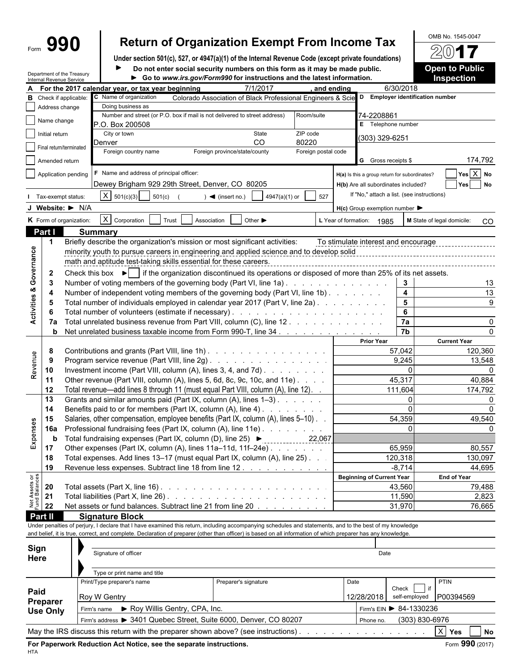Department of the Treasury

## Form **990 Return of Organization Exempt From Income Tax**  $\frac{\text{OMB No. 1545-0047}}{2017}$

**Under section 501(c), 527, or 4947(a)(1) of the Internal Revenue Code (except private foundations) Do not enter social security numbers on this form as it may be made public. <b>Open to Public** 

ь **Go to** *www.irs.gov/Form990* **for instructions and the latest information. Inspection**

Internal Revenue Service **A For the 2017 calendar year, or tax year beginning** 7/1/2017 **, and ending** 6/30/2018 **B** Check if applicable: C Name of organization Colorado Association of Black Professional Engineers & Scientist D Employer identification number Address change Doing business as Number and street (or P.O. box if mail is not delivered to street address) | Room/suite 74-2208861 Name change P.O. Box 200508 **E** Telephone number Initial return City or town City of the City of the City of the College of the College of College CO and CO and CO and CO and CO and CO and CO and CO and CO and CO and CO and CO and CO and CO and CO and CO and CO and CO an Final return/terminated **Denver**<br>Foreign country name Foreign province/state/county Foreign postal code Amended return **Calculation G** Gross receipts \$ 174,792 Application pending **F** Name and address of principal officer: **H(a)** Is this a group return for subordinates? **Yes** X **No** Dewey Brigham 929 29th Street, Denver, CO 80205 **H(b)** Are all subordinates included? **The Strate Index** No Tax-exempt status:  $\boxed{X}$  501(c)(3) 501(c) ( ) (insert no.)  $\boxed{4947(a)(1)}$  or  $\boxed{527}$  If "No," attach a list. (see instructions) **J Website:** ▶ N/A **H(c)** Group exemption number ▶ **K** Form of organization:  $\boxed{X}$  Corporation  $\boxed{ }$  Trust Association  $\boxed{ }$  Other ▶<br>  $\boxed{ }$  L Year of formation: 1985 M State of legal domicile: CO **Part I Summary 1** Briefly describe the organization's mission or most significant activities: To stimulate interest and encourage Activities & Governance minority youth to pursue careers in engineering and applied science and to develop solid math and aptitude test-taking skills essential for these careers. **2** Check this box ► if the organization discontinued its operations or disposed of more than 25% of its net assets. **3** Number of voting members of the governing body (Part VI, line 1a) . . . . . . . . . . . . . . . . . . . . . . . . . . . . . . . . . . . . . . . . . . . **3** 13 **4** Number of independent voting members of the governing body (Part VI, line 1b) . . . . . . . . . . . 4 | 4 | 13 **5** Total number of individuals employed in calendar year 2017 (Part V, line 2a) . . . . . . . . . . . . . . . . . . . . . . . . . . . . . . . . . . . . . . . . . . . . . . . . **5** 9 **6** Total number of volunteers (estimate if necessary) . . . . . . . . . . . . . . . . . . . . . . . . . . . . . . . . . . . . . . . . . . . . . . **6 7a** Total unrelated business revenue from Part VIII, column (C), line 12 . . . . . . . . . . . . . . . . . . . . . . . . . . . . . . . . . . . . . . . . . . . **7a** 0 **b** Net unrelated business taxable income from Form 990-T, line 34 . . . . . . . . . . . . . . . . . . . . . . . . . . . . . . . . . . . . . . . . . . . . . . **7b** 0 **Prior Year Current Year 8** Contributions and grants (Part VIII, line 1h) . . . . . . . . . . . . . . . . . . . . . . . . . . . . . . . . . . . . . . . . . . . . . . . . . . 57,042 120,360 Revenue **9** Program service revenue (Part VIII, line 2g) . . . . . . . . . . . . . . . . . . . . . . . . . . . . . . . . . . . . . . . . . . . . . . . . . . 9,245 13,548 **10** Investment income (Part VIII, column (A), lines 3, 4, and 7d) . . . . . . . . . . . 0 **11** Other revenue (Part VIII, column (A), lines 5, 6d, 8c, 9c, 10c, and 11e) . . . . . . . . . . 45,317 40,884 **12** Total revenue—add lines 8 through 11 (must equal Part VIII, column (A), line 12). . . . . . . . . . . . . . . . . . . . . . . . . . . . . . . . . . . . . . . . . 111,604 174,792 **13** Grants and similar amounts paid (Part IX, column (A), lines 1–3) . . . . . . . . . . . 0 **14** Benefits paid to or for members (Part IX, column (A), line 4) . . . . . . . . . . . . . . 0 **15** Salaries, other compensation, employee benefits (Part IX, column (A), lines 5–10) . . . . . . . . . . . . . . . . . . . . . . . . . . . . . . . . . . . . . . . . . 54,359 49,540 Expenses **16a** Professional fundraising fees (Part IX, column (A), line 11e) . . . . . . . . . . . . 0 **b** Total fundraising expenses (Part IX, column (D), line 25)  $\triangleright$  22,067 **17** Other expenses (Part IX, column (A), lines 11a–11d, 11f–24e) . . . . . . . . . | 65,959 66,959 80,557 **18** Total expenses. Add lines 13–17 (must equal Part IX, column (A), line 25) . . . . . . . . . . . . . . . . . 120,318 130,097 **19** Revenue less expenses. Subtract line 18 from line 12 . . . . . . . . . . . . . . . . . . . . . . . . . . . . . . . . . . . . . . . . . . . . . . . . -8,714 44,695 **Beginning of Current Year End of Year** ৯ Balances **20** Total assets (Part X, line 16) . . . . . . . . . . . . . . . . . . . . . . . . . . . . . . . . . . . . . . . . . . . . . . . . . . . . . . 43,560 79,488 **21** Total liabilities (Part X, line 26) . . . . . . . . . . . . . . . . . . . . . . . . . . . . . . . . . . . . . . . . . . . . . . . . . . . . . 11,590 2,823  $\frac{1}{9}$  $\frac{1}{5}$ **22** Net assets or fund balances. Subtract line 21 from line 20 . . . . . . . . . . . . . . 31,970 76,665  **Part II Signature Block** Under penalties of perjury, I declare that I have examined this return, including accompanying schedules and statements, and to the best of my knowledge and belief, it is true, correct, and complete. Declaration of preparer (other than officer) is based on all information of which preparer has any knowledge. **Sign Here** Signature of officer **Date** Date **Here** Date Type or print name and title Print/Type preparer's name Preparer's signature Print/Type preparer's name PTIN Check if **Paid** Roy W Gentry **12/28/2018** self-employed P00394569 **Preparer** Firm's name  $\bullet$  Roy Willis Gentry, CPA, Inc. Firm's EIN  $\bullet$  84-1330236 **Use Only** Firm's address > 3401 Quebec Street, Suite 6000, Denver, CO 80207 Phone no. (303) 830-6976 May the IRS discuss this return with the preparer shown above? (see instructions) . . . . . . . . . . . . . . . . . . . . . . . . . . . . . . . . . . . . . . . . . X **Yes No**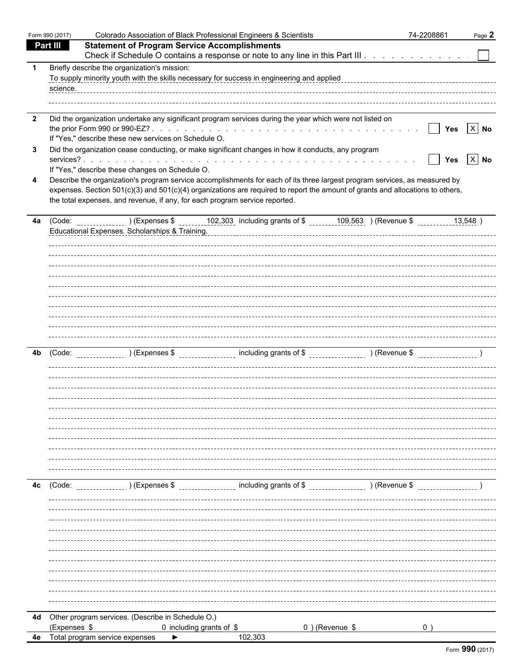|                         | Form 990 (2017) | Colorado Association of Black Professional Engineers & Scientists                                                                                                                                                                                                                                                                           | 74-2208861     | Page 2                       |
|-------------------------|-----------------|---------------------------------------------------------------------------------------------------------------------------------------------------------------------------------------------------------------------------------------------------------------------------------------------------------------------------------------------|----------------|------------------------------|
|                         | Part III        | <b>Statement of Program Service Accomplishments</b>                                                                                                                                                                                                                                                                                         |                |                              |
|                         |                 | Check if Schedule O contains a response or note to any line in this Part III                                                                                                                                                                                                                                                                |                |                              |
| -1                      |                 | Briefly describe the organization's mission:<br>To supply minority youth with the skills necessary for success in engineering and applied                                                                                                                                                                                                   |                |                              |
| $\overline{\mathbf{2}}$ |                 | Did the organization undertake any significant program services during the year which were not listed on<br>If "Yes," describe these new services on Schedule O.                                                                                                                                                                            |                | $\sqrt{ }$ Yes $\sqrt{ }$ No |
| 3                       |                 | Did the organization cease conducting, or make significant changes in how it conducts, any program<br>If "Yes," describe these changes on Schedule O.                                                                                                                                                                                       | $\blacksquare$ | Yes $\boxed{X}$ No           |
| 4                       |                 | Describe the organization's program service accomplishments for each of its three largest program services, as measured by<br>expenses. Section 501(c)(3) and 501(c)(4) organizations are required to report the amount of grants and allocations to others,<br>the total expenses, and revenue, if any, for each program service reported. |                |                              |
|                         |                 | 4a (Code: ) (Expenses \$102,303 including grants of \$109,563 ) (Revenue \$<br>Educational Expenses. Scholarships & Training. [10] The Content of the Capital Street Scholarships & Training.                                                                                                                                               |                | 13,548)                      |
|                         |                 |                                                                                                                                                                                                                                                                                                                                             |                |                              |
|                         |                 |                                                                                                                                                                                                                                                                                                                                             |                |                              |
| 4b                      |                 | $(Code:$ (Code: $(Code:$ $(Code:$ $(Code:$ $(Code:$ $(Code:$ $(Code:$ $(Code:$ $(Code:$ $(Code:$ $(Code:$ $(Code:$ $(Code:$ $(Code:$ $(Code:$ $(Code:$ $(Code:$ $(Code:$ $(Code:$ $(Code:$ $(Code:$ $(Code:$ $(Code:$ $(Code:$ $(Code:$ $(Code:$ $(Code:$ $(Code:$ $(Code:$ $(Code:$ $(Code:$ $(Code:$ $(Code:$ $(Code:$ $(Code:$ $(Code:$  |                |                              |
|                         |                 |                                                                                                                                                                                                                                                                                                                                             |                |                              |
|                         |                 |                                                                                                                                                                                                                                                                                                                                             |                |                              |
|                         |                 |                                                                                                                                                                                                                                                                                                                                             |                |                              |
| 4c                      | (Code:          | ) (Expenses $\frac{1}{2}$ [100] including grants of $\frac{1}{2}$ [100] (Revenue $\frac{1}{2}$ ) (Revenue $\frac{1}{2}$                                                                                                                                                                                                                     |                |                              |
|                         |                 |                                                                                                                                                                                                                                                                                                                                             |                |                              |
|                         |                 |                                                                                                                                                                                                                                                                                                                                             |                |                              |
|                         |                 |                                                                                                                                                                                                                                                                                                                                             |                |                              |
|                         |                 | 4d Other program services. (Describe in Schedule O.)                                                                                                                                                                                                                                                                                        |                |                              |
|                         | (Expenses \$    | $0$ ) (Revenue \$<br>0 including grants of \$                                                                                                                                                                                                                                                                                               | 0)             |                              |
| 4e                      |                 | Total program service expenses<br>102,303                                                                                                                                                                                                                                                                                                   |                |                              |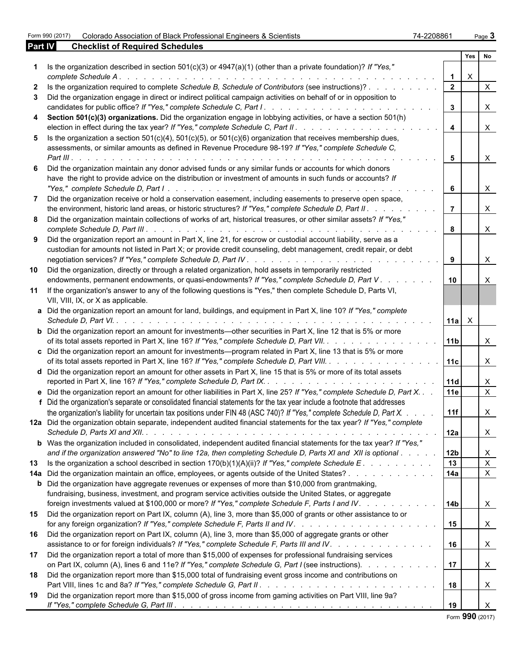| Form 990 (2017) | Colorado Association of Black Professional Engineers & Scientists | 74-2208861<br>Page $3$ |
|-----------------|-------------------------------------------------------------------|------------------------|
|                 |                                                                   |                        |

| 74-2208861 | Page, |
|------------|-------|
|------------|-------|

| Part IV      | <b>Checklist of Required Schedules</b>                                                                                                                                                                                                                        |                       |              |                           |  |
|--------------|---------------------------------------------------------------------------------------------------------------------------------------------------------------------------------------------------------------------------------------------------------------|-----------------------|--------------|---------------------------|--|
|              |                                                                                                                                                                                                                                                               |                       | Yes          | No                        |  |
|              | Is the organization described in section $501(c)(3)$ or $4947(a)(1)$ (other than a private foundation)? If "Yes,"<br>complete Schedule A.                                                                                                                     | $\mathbf 1$           | X            |                           |  |
| $\mathbf{2}$ | Is the organization required to complete Schedule B, Schedule of Contributors (see instructions)?                                                                                                                                                             | $\overline{2}$        |              | $\times$                  |  |
| 3            | Did the organization engage in direct or indirect political campaign activities on behalf of or in opposition to<br>candidates for public office? If "Yes," complete Schedule C, Part I.                                                                      | $\mathbf{3}$          |              | $\times$                  |  |
|              | 4 Section 501(c)(3) organizations. Did the organization engage in lobbying activities, or have a section 501(h)                                                                                                                                               | $\overline{4}$        |              | $\times$                  |  |
|              | 5 Is the organization a section $501(c)(4)$ , $501(c)(5)$ , or $501(c)(6)$ organization that receives membership dues,<br>assessments, or similar amounts as defined in Revenue Procedure 98-19? If "Yes," complete Schedule C,                               | 5                     |              | $\times$                  |  |
| 6.           | Did the organization maintain any donor advised funds or any similar funds or accounts for which donors<br>have the right to provide advice on the distribution or investment of amounts in such funds or accounts? If<br>"Yes," complete Schedule D, Part I. | 6                     |              | $\times$                  |  |
| 7            | Did the organization receive or hold a conservation easement, including easements to preserve open space,<br>the environment, historic land areas, or historic structures? If "Yes," complete Schedule D, Part II.                                            | $\overline{7}$        |              | X                         |  |
|              | 8 Did the organization maintain collections of works of art, historical treasures, or other similar assets? If "Yes,"<br>complete Schedule D, Part III.                                                                                                       | 8                     |              | $\times$                  |  |
|              | 9 Did the organization report an amount in Part X, line 21, for escrow or custodial account liability, serve as a<br>custodian for amounts not listed in Part X; or provide credit counseling, debt management, credit repair, or debt                        | 9                     |              | X                         |  |
| 10           | Did the organization, directly or through a related organization, hold assets in temporarily restricted<br>endowments, permanent endowments, or quasi-endowments? If "Yes," complete Schedule D, Part V.                                                      | 10                    |              |                           |  |
| 11           | If the organization's answer to any of the following questions is "Yes," then complete Schedule D, Parts VI,<br>VII, VIII, IX, or X as applicable.                                                                                                            |                       |              |                           |  |
|              | a Did the organization report an amount for land, buildings, and equipment in Part X, line 10? If "Yes," complete<br>Schedule D, Part VI. .                                                                                                                   | 11a                   | $\mathsf{X}$ |                           |  |
|              | <b>b</b> Did the organization report an amount for investments—other securities in Part X, line 12 that is 5% or more<br>of its total assets reported in Part X, line 16? If "Yes," complete Schedule D, Part VII.                                            | 11 <sub>b</sub>       |              | $\times$                  |  |
|              | c Did the organization report an amount for investments—program related in Part X, line 13 that is 5% or more<br>of its total assets reported in Part X, line 16? If "Yes," complete Schedule D, Part VIII.                                                   | 11c                   |              | $\times$                  |  |
|              | d Did the organization report an amount for other assets in Part X, line 15 that is 5% or more of its total assets                                                                                                                                            | 11d                   |              | X                         |  |
|              | e Did the organization report an amount for other liabilities in Part X, line 25? If "Yes," complete Schedule D, Part X. .<br>f Did the organization's separate or consolidated financial statements for the tax year include a footnote that addresses       | 11e                   |              | $\mathsf{X}$              |  |
|              | the organization's liability for uncertain tax positions under FIN 48 (ASC 740)? If "Yes," complete Schedule D, Part X.<br>12a Did the organization obtain separate, independent audited financial statements for the tax year? If "Yes," complete            | 11f                   |              | X                         |  |
|              | b Was the organization included in consolidated, independent audited financial statements for the tax year? If "Yes,"                                                                                                                                         | 12a                   |              | X                         |  |
|              | and if the organization answered "No" to line 12a, then completing Schedule D, Parts XI and XII is optional                                                                                                                                                   | 12 <sub>b</sub><br>13 |              | X<br>$\mathsf{X}$         |  |
| 13           | Is the organization a school described in section $170(b)(1)(A)(ii)?$ If "Yes," complete Schedule E.<br>14a Did the organization maintain an office, employees, or agents outside of the United States?.                                                      | 14a                   |              | $\mathsf{X}$              |  |
|              | <u>.</u><br><b>b</b> Did the organization have aggregate revenues or expenses of more than \$10,000 from grantmaking,<br>fundraising, business, investment, and program service activities outside the United States, or aggregate                            |                       |              |                           |  |
|              | foreign investments valued at \$100,000 or more? If "Yes," complete Schedule F, Parts I and IV.<br>15 Did the organization report on Part IX, column (A), line 3, more than \$5,000 of grants or other assistance to or                                       | 14b                   |              | X                         |  |
|              | 16 Did the organization report on Part IX, column (A), line 3, more than \$5,000 of aggregate grants or other<br>assistance to or for foreign individuals? If "Yes," complete Schedule F, Parts III and IV.                                                   | 15<br>16              |              | X<br>X                    |  |
| 17           | Did the organization report a total of more than \$15,000 of expenses for professional fundraising services<br>on Part IX, column (A), lines 6 and 11e? If "Yes," complete Schedule G, Part I (see instructions).                                             | 17                    |              | X                         |  |
|              | 18 Did the organization report more than \$15,000 total of fundraising event gross income and contributions on                                                                                                                                                | 18                    |              | X                         |  |
| 19           | Did the organization report more than \$15,000 of gross income from gaming activities on Part VIII, line 9a?                                                                                                                                                  | 19                    |              | $\boldsymbol{\mathsf{X}}$ |  |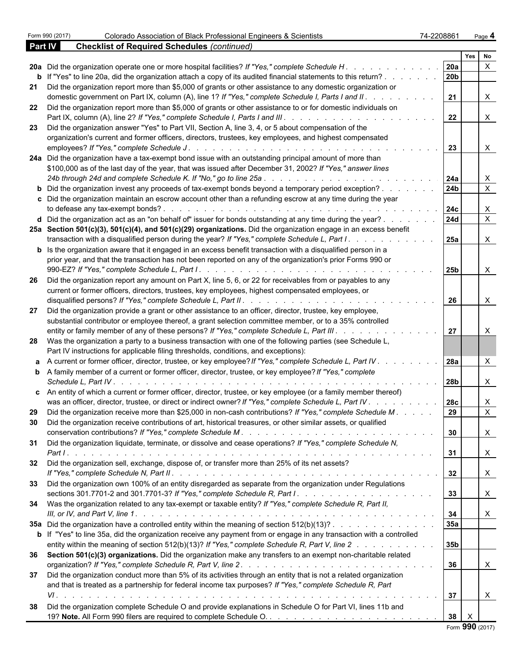|    | Form 990 (2017)<br>Colorado Association of Black Professional Engineers & Scientists                                                                                                                                                                             | 74-2208861      |                     | Page 4                    |  |
|----|------------------------------------------------------------------------------------------------------------------------------------------------------------------------------------------------------------------------------------------------------------------|-----------------|---------------------|---------------------------|--|
|    | <b>Checklist of Required Schedules (continued)</b><br><b>Part IV</b>                                                                                                                                                                                             |                 |                     |                           |  |
|    |                                                                                                                                                                                                                                                                  |                 | Yes                 | <b>No</b>                 |  |
|    | 20a Did the organization operate one or more hospital facilities? If "Yes," complete Schedule H.                                                                                                                                                                 | <b>20a</b>      |                     | $\boldsymbol{\mathsf{X}}$ |  |
|    | <b>b</b> If "Yes" to line 20a, did the organization attach a copy of its audited financial statements to this return?                                                                                                                                            | 20 <sub>b</sub> |                     |                           |  |
|    | 21 Did the organization report more than \$5,000 of grants or other assistance to any domestic organization or<br>domestic government on Part IX, column (A), line 1? If "Yes," complete Schedule I, Parts I and II. .                                           | 21              |                     | $\times$                  |  |
|    | 22 Did the organization report more than \$5,000 of grants or other assistance to or for domestic individuals on<br>Part IX, column (A), line 2? If "Yes," complete Schedule I, Parts I and III.                                                                 | 22              |                     | $\mathsf{X}$              |  |
| 23 | Did the organization answer "Yes" to Part VII, Section A, line 3, 4, or 5 about compensation of the                                                                                                                                                              |                 |                     |                           |  |
|    | organization's current and former officers, directors, trustees, key employees, and highest compensated                                                                                                                                                          |                 |                     |                           |  |
|    |                                                                                                                                                                                                                                                                  | 23              |                     | $\mathsf{X}$              |  |
|    | 24a Did the organization have a tax-exempt bond issue with an outstanding principal amount of more than                                                                                                                                                          |                 |                     |                           |  |
|    | \$100,000 as of the last day of the year, that was issued after December 31, 2002? If "Yes," answer lines                                                                                                                                                        | 24a             |                     | X                         |  |
|    | <b>b</b> Did the organization invest any proceeds of tax-exempt bonds beyond a temporary period exception?                                                                                                                                                       | 24 <sub>b</sub> |                     | $\mathsf{X}$              |  |
|    | c Did the organization maintain an escrow account other than a refunding escrow at any time during the year                                                                                                                                                      |                 |                     |                           |  |
|    |                                                                                                                                                                                                                                                                  | 24c             |                     | $\mathsf{X}$              |  |
|    | d Did the organization act as an "on behalf of" issuer for bonds outstanding at any time during the year?                                                                                                                                                        | 24d             |                     | $\mathsf{X}$              |  |
|    | 25a Section 501(c)(3), 501(c)(4), and 501(c)(29) organizations. Did the organization engage in an excess benefit<br>transaction with a disqualified person during the year? If "Yes," complete Schedule L, Part I.                                               | <b>25a</b>      |                     | $\mathsf{X}$              |  |
|    | <b>b</b> Is the organization aware that it engaged in an excess benefit transaction with a disqualified person in a                                                                                                                                              |                 |                     |                           |  |
|    | prior year, and that the transaction has not been reported on any of the organization's prior Forms 990 or                                                                                                                                                       | 25 <sub>b</sub> |                     | $\mathsf{X}$              |  |
| 26 | Did the organization report any amount on Part X, line 5, 6, or 22 for receivables from or payables to any                                                                                                                                                       |                 |                     |                           |  |
|    | current or former officers, directors, trustees, key employees, highest compensated employees, or                                                                                                                                                                |                 |                     |                           |  |
|    | disqualified persons? If "Yes," complete Schedule L, Part II. .<br>$\frac{1}{2}$ , $\frac{1}{2}$ , $\frac{1}{2}$ , $\frac{1}{2}$ , $\frac{1}{2}$ , $\frac{1}{2}$ , $\frac{1}{2}$ , $\frac{1}{2}$ , $\frac{1}{2}$ , $\frac{1}{2}$ , $\frac{1}{2}$ , $\frac{1}{2}$ | 26              |                     | $\mathsf{X}$              |  |
| 27 | Did the organization provide a grant or other assistance to an officer, director, trustee, key employee,<br>substantial contributor or employee thereof, a grant selection committee member, or to a 35% controlled                                              |                 |                     |                           |  |
|    | entity or family member of any of these persons? If "Yes," complete Schedule L, Part III.                                                                                                                                                                        | 27              |                     | X                         |  |
|    | 28 Was the organization a party to a business transaction with one of the following parties (see Schedule L,<br>Part IV instructions for applicable filing thresholds, conditions, and exceptions):                                                              |                 |                     |                           |  |
|    | a A current or former officer, director, trustee, or key employee? If "Yes," complete Schedule L, Part IV.                                                                                                                                                       | 28a             |                     | $\mathsf{X}$              |  |
|    | <b>b</b> A family member of a current or former officer, director, trustee, or key employee? If "Yes," complete<br>Schedule L, Part IV.                                                                                                                          | 28b             |                     | $\mathsf{X}$              |  |
|    | c An entity of which a current or former officer, director, trustee, or key employee (or a family member thereof)                                                                                                                                                |                 |                     |                           |  |
|    | was an officer, director, trustee, or direct or indirect owner? If "Yes," complete Schedule L, Part IV.                                                                                                                                                          | 28c             |                     | X                         |  |
| 29 | Did the organization receive more than \$25,000 in non-cash contributions? If "Yes," complete Schedule M.                                                                                                                                                        | l 29            |                     | $\mathsf{X}$              |  |
| 30 | Did the organization receive contributions of art, historical treasures, or other similar assets, or qualified                                                                                                                                                   | 30              |                     | $\mathsf{X}$              |  |
|    | 31 Did the organization liquidate, terminate, or dissolve and cease operations? If "Yes," complete Schedule N,                                                                                                                                                   | 31              |                     | $\mathsf{X}$              |  |
|    | 32 Did the organization sell, exchange, dispose of, or transfer more than 25% of its net assets?                                                                                                                                                                 |                 |                     |                           |  |
|    | 33 Did the organization own 100% of an entity disregarded as separate from the organization under Regulations                                                                                                                                                    | 32              |                     | $\mathsf{X}$              |  |
|    |                                                                                                                                                                                                                                                                  | 33              |                     | $\mathsf{X}$              |  |
|    | 34 Was the organization related to any tax-exempt or taxable entity? If "Yes," complete Schedule R, Part II,                                                                                                                                                     | 34              |                     | $\mathsf{X}$              |  |
|    | 35a Did the organization have a controlled entity within the meaning of section 512(b)(13)?                                                                                                                                                                      | 35a             |                     |                           |  |
|    | <b>b</b> If "Yes" to line 35a, did the organization receive any payment from or engage in any transaction with a controlled<br>entity within the meaning of section 512(b)(13)? If "Yes," complete Schedule R, Part V, line 2                                    | 35b             |                     |                           |  |
|    | 36 Section 501(c)(3) organizations. Did the organization make any transfers to an exempt non-charitable related                                                                                                                                                  |                 |                     |                           |  |
|    |                                                                                                                                                                                                                                                                  | 36              |                     | $\mathsf{X}$              |  |
| 37 | Did the organization conduct more than 5% of its activities through an entity that is not a related organization<br>and that is treated as a partnership for federal income tax purposes? If "Yes," complete Schedule R, Part                                    |                 |                     |                           |  |
|    |                                                                                                                                                                                                                                                                  | 37              |                     | $\mathsf{X}$              |  |
| 38 | Did the organization complete Schedule O and provide explanations in Schedule O for Part VI, lines 11b and                                                                                                                                                       |                 |                     |                           |  |
|    |                                                                                                                                                                                                                                                                  | 38              | X<br>$\overline{2}$ |                           |  |

|  |  | Form 990 (2017) |
|--|--|-----------------|
|--|--|-----------------|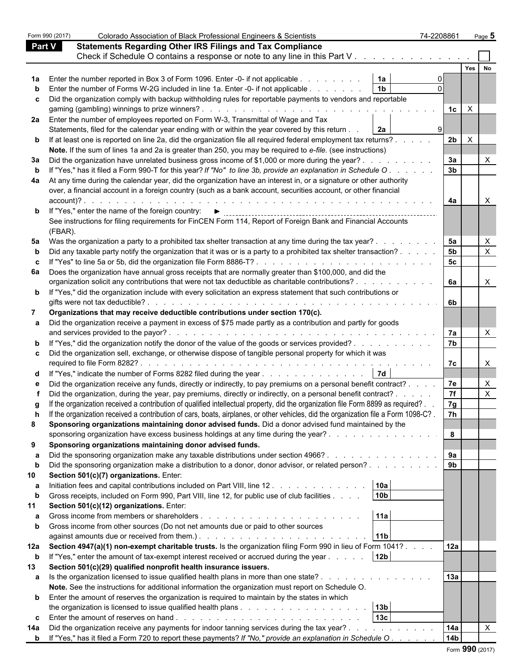|             | Form 990 (2017)<br>Colorado Association of Black Professional Engineers & Scientists                                                | 74-2208861      | Page 5                  |
|-------------|-------------------------------------------------------------------------------------------------------------------------------------|-----------------|-------------------------|
|             | <b>Statements Regarding Other IRS Filings and Tax Compliance</b><br><b>Part V</b>                                                   |                 |                         |
|             | Check if Schedule O contains a response or note to any line in this Part V                                                          |                 |                         |
|             |                                                                                                                                     |                 | <b>Yes</b><br><b>No</b> |
|             | Enter the number reported in Box 3 of Form 1096. Enter -0- if not applicable                                                        |                 |                         |
|             | 1a<br>1 <sub>b</sub>                                                                                                                |                 |                         |
|             | Enter the number of Forms W-2G included in line 1a. Enter -0- if not applicable                                                     |                 |                         |
|             | c Did the organization comply with backup withholding rules for reportable payments to vendors and reportable                       |                 |                         |
|             |                                                                                                                                     | 1c              | $\times$                |
|             | 2a Enter the number of employees reported on Form W-3, Transmittal of Wage and Tax                                                  |                 |                         |
|             | Statements, filed for the calendar year ending with or within the year covered by this return .<br>2a                               |                 |                         |
|             | <b>b</b> If at least one is reported on line 2a, did the organization file all required federal employment tax returns?             | 2 <sub>b</sub>  | $\mathsf{X}$            |
|             | Note. If the sum of lines 1a and 2a is greater than 250, you may be required to e-file. (see instructions)                          |                 |                         |
| За          | Did the organization have unrelated business gross income of \$1,000 or more during the year?.                                      | 3a              |                         |
|             | If "Yes," has it filed a Form 990-T for this year? If "No" to line 3b, provide an explanation in Schedule O.                        | 3 <sub>b</sub>  |                         |
| 4a          | At any time during the calendar year, did the organization have an interest in, or a signature or other authority                   |                 |                         |
|             | over, a financial account in a foreign country (such as a bank account, securities account, or other financial                      |                 |                         |
|             | $account$ $?$ .                                                                                                                     | 4a              |                         |
|             | <b>b</b> If "Yes," enter the name of the foreign country: $\blacktriangleright$                                                     |                 |                         |
|             | See instructions for filing requirements for FinCEN Form 114, Report of Foreign Bank and Financial Accounts                         |                 |                         |
|             | (FBAR).                                                                                                                             |                 |                         |
| 5a          | Was the organization a party to a prohibited tax shelter transaction at any time during the tax year?.                              | 5a              |                         |
|             |                                                                                                                                     | 5 <sub>b</sub>  |                         |
|             | Did any taxable party notify the organization that it was or is a party to a prohibited tax shelter transaction?.                   | 5 <sub>c</sub>  |                         |
|             | If "Yes" to line 5a or 5b, did the organization file Form 8886-T?                                                                   |                 |                         |
|             | 6a Does the organization have annual gross receipts that are normally greater than \$100,000, and did the                           | 6a              |                         |
|             | organization solicit any contributions that were not tax deductible as charitable contributions? .                                  |                 | X                       |
|             | <b>b</b> If "Yes," did the organization include with every solicitation an express statement that such contributions or             |                 |                         |
|             | gifts were not tax deductible?                                                                                                      | 6b              |                         |
|             | Organizations that may receive deductible contributions under section 170(c).                                                       |                 |                         |
|             | a Did the organization receive a payment in excess of \$75 made partly as a contribution and partly for goods                       |                 |                         |
|             | and services provided to the payor?.<br>de la caractería de la caractería de la caractería de la caractería de la caractería        | 7a              |                         |
|             | <b>b</b> If "Yes," did the organization notify the donor of the value of the goods or services provided?                            | 7 <sub>b</sub>  |                         |
|             | c Did the organization sell, exchange, or otherwise dispose of tangible personal property for which it was                          |                 |                         |
|             |                                                                                                                                     | 7c              |                         |
|             | d If "Yes," indicate the number of Forms 8282 filed during the year 7d                                                              |                 |                         |
|             | Did the organization receive any funds, directly or indirectly, to pay premiums on a personal benefit contract?                     | 7e              |                         |
|             | Did the organization, during the year, pay premiums, directly or indirectly, on a personal benefit contract? .                      | 7f              | X                       |
|             | If the organization received a contribution of qualified intellectual property, did the organization file Form 8899 as required?.   | 7g              |                         |
|             | If the organization received a contribution of cars, boats, airplanes, or other vehicles, did the organization file a Form 1098-C?. | 7h              |                         |
| 8           | Sponsoring organizations maintaining donor advised funds. Did a donor advised fund maintained by the                                |                 |                         |
|             | sponsoring organization have excess business holdings at any time during the year?                                                  | 8               |                         |
| 9           | Sponsoring organizations maintaining donor advised funds.                                                                           |                 |                         |
|             | Did the sponsoring organization make any taxable distributions under section 4966?                                                  | 9a              |                         |
|             | Did the sponsoring organization make a distribution to a donor, donor advisor, or related person?                                   | 9 <sub>b</sub>  |                         |
| 10          | Section 501(c)(7) organizations. Enter:                                                                                             |                 |                         |
|             | 10a<br>Initiation fees and capital contributions included on Part VIII, line 12.                                                    |                 |                         |
| а           | 10 <sub>b</sub>                                                                                                                     |                 |                         |
|             | Gross receipts, included on Form 990, Part VIII, line 12, for public use of club facilities                                         |                 |                         |
| 11          | Section 501(c)(12) organizations. Enter:                                                                                            |                 |                         |
|             | 11a                                                                                                                                 |                 |                         |
|             | Gross income from other sources (Do not net amounts due or paid to other sources                                                    |                 |                         |
|             | 11 <sub>b</sub><br>against amounts due or received from them.). The subset of the state of the state of the state of the state of   |                 |                         |
| 12a         | Section 4947(a)(1) non-exempt charitable trusts. Is the organization filing Form 990 in lieu of Form 1041?                          | 12a             |                         |
| $\mathbf b$ | 12 <sub>b</sub><br>If "Yes," enter the amount of tax-exempt interest received or accrued during the year                            |                 |                         |
| 13          | Section 501(c)(29) qualified nonprofit health insurance issuers.                                                                    |                 |                         |
|             | a Is the organization licensed to issue qualified health plans in more than one state?                                              | 13a             |                         |
|             | Note. See the instructions for additional information the organization must report on Schedule O.                                   |                 |                         |
|             | <b>b</b> Enter the amount of reserves the organization is required to maintain by the states in which                               |                 |                         |
|             | 13 <sub>b</sub>                                                                                                                     |                 |                         |
|             | 13 <sub>c</sub>                                                                                                                     |                 |                         |
| 14a         | Did the organization receive any payments for indoor tanning services during the tax year?                                          | 14a             |                         |
|             | <b>b</b> If "Yes," has it filed a Form 720 to report these payments? If "No," provide an explanation in Schedule O.                 | 14 <sub>b</sub> |                         |
|             |                                                                                                                                     |                 |                         |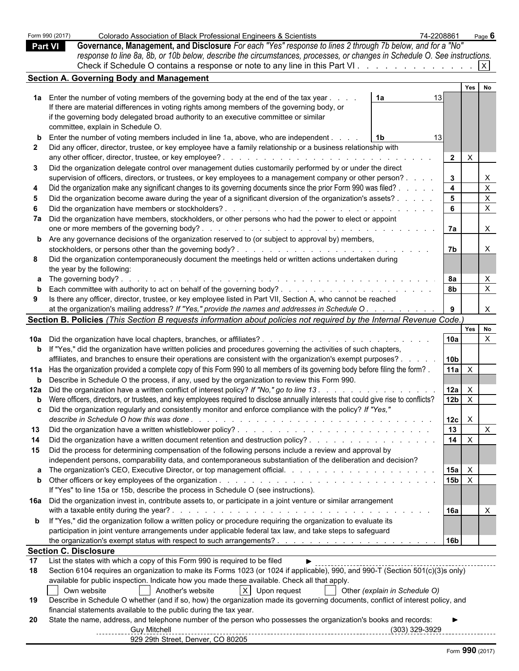|                | Form 990 (2017) | Colorado Association of Black Professional Engineers & Scientists                                                                                                                                                      | 74-2208861              |              | Page 6                    |  |
|----------------|-----------------|------------------------------------------------------------------------------------------------------------------------------------------------------------------------------------------------------------------------|-------------------------|--------------|---------------------------|--|
| <b>Part VI</b> |                 | Governance, Management, and Disclosure For each "Yes" response to lines 2 through 7b below, and for a "No"                                                                                                             |                         |              |                           |  |
|                |                 | response to line 8a, 8b, or 10b below, describe the circumstances, processes, or changes in Schedule O. See instructions.                                                                                              |                         |              |                           |  |
|                |                 | Check if Schedule O contains a response or note to any line in this Part VI. $\boxed{X}$                                                                                                                               |                         |              |                           |  |
|                |                 | <b>Section A. Governing Body and Management</b>                                                                                                                                                                        |                         |              |                           |  |
|                |                 |                                                                                                                                                                                                                        |                         | Yes          | No                        |  |
|                |                 | 1a Enter the number of voting members of the governing body at the end of the tax year.<br>1a                                                                                                                          | 13                      |              |                           |  |
|                |                 | If there are material differences in voting rights among members of the governing body, or                                                                                                                             |                         |              |                           |  |
|                |                 | if the governing body delegated broad authority to an executive committee or similar                                                                                                                                   |                         |              |                           |  |
|                |                 | committee, explain in Schedule O.                                                                                                                                                                                      |                         |              |                           |  |
|                |                 | <b>b</b> Enter the number of voting members included in line 1a, above, who are independent.<br>  1b                                                                                                                   | 13                      |              |                           |  |
|                |                 | Did any officer, director, trustee, or key employee have a family relationship or a business relationship with                                                                                                         |                         |              |                           |  |
|                |                 |                                                                                                                                                                                                                        | $\overline{2}$          | $\mathsf{X}$ |                           |  |
| 3              |                 | Did the organization delegate control over management duties customarily performed by or under the direct                                                                                                              |                         |              |                           |  |
|                |                 | supervision of officers, directors, or trustees, or key employees to a management company or other person?.                                                                                                            | 3 <sup>1</sup>          |              | $\mathsf{X}$              |  |
|                |                 | Did the organization make any significant changes to its governing documents since the prior Form 990 was filed? .                                                                                                     | $\overline{\mathbf{4}}$ |              | $\mathsf X$               |  |
|                |                 | Did the organization become aware during the year of a significant diversion of the organization's assets?.                                                                                                            | 5 <sub>5</sub>          |              | $\boldsymbol{\mathsf{X}}$ |  |
|                |                 |                                                                                                                                                                                                                        | 6                       |              | $\mathsf{X}$              |  |
|                |                 | 7a Did the organization have members, stockholders, or other persons who had the power to elect or appoint                                                                                                             |                         |              |                           |  |
|                |                 |                                                                                                                                                                                                                        | 7a                      |              | $\mathsf{X}$              |  |
|                |                 | <b>b</b> Are any governance decisions of the organization reserved to (or subject to approval by) members,                                                                                                             |                         |              |                           |  |
|                |                 |                                                                                                                                                                                                                        | 7 <sub>b</sub>          |              | $\boldsymbol{\mathsf{X}}$ |  |
| 8              |                 | Did the organization contemporaneously document the meetings held or written actions undertaken during                                                                                                                 |                         |              |                           |  |
|                |                 | the year by the following:                                                                                                                                                                                             |                         |              |                           |  |
|                |                 | <b>a</b> The governing body?.<br><u>. In the second contract of the second contract of the second contract of the second</u>                                                                                           | <b>8a</b>               |              | $\boldsymbol{\mathsf{X}}$ |  |
|                |                 |                                                                                                                                                                                                                        | 8 <sub>b</sub>          |              | $\mathsf{X}$              |  |
|                |                 | 9 Is there any officer, director, trustee, or key employee listed in Part VII, Section A, who cannot be reached                                                                                                        |                         |              |                           |  |
|                |                 | at the organization's mailing address? If "Yes," provide the names and addresses in Schedule O.<br>Section B. Policies (This Section B requests information about policies not required by the Internal Revenue Code.) | 9                       |              | $\mathsf{X}$              |  |
|                |                 |                                                                                                                                                                                                                        |                         | Yes          | No                        |  |
|                |                 |                                                                                                                                                                                                                        | 10a                     |              | $\times$                  |  |
|                |                 | <b>b</b> If "Yes," did the organization have written policies and procedures governing the activities of such chapters,                                                                                                |                         |              |                           |  |
|                |                 | affiliates, and branches to ensure their operations are consistent with the organization's exempt purposes?.                                                                                                           | 10 <sub>b</sub>         |              |                           |  |
|                |                 | 11a Has the organization provided a complete copy of this Form 990 to all members of its governing body before filing the form?.                                                                                       | 11a $\overline{X}$      |              |                           |  |
|                |                 | <b>b</b> Describe in Schedule O the process, if any, used by the organization to review this Form 990.                                                                                                                 |                         |              |                           |  |
|                |                 | 12a Did the organization have a written conflict of interest policy? If "No," go to line 13.                                                                                                                           | 12a                     | $\mathsf{X}$ |                           |  |
|                |                 | <b>b</b> Were officers, directors, or trustees, and key employees required to disclose annually interests that could give rise to conflicts?                                                                           | $12b \mid X$            |              |                           |  |
|                |                 | Did the organization regularly and consistently monitor and enforce compliance with the policy? If "Yes,"                                                                                                              |                         |              |                           |  |
|                |                 |                                                                                                                                                                                                                        | 12c                     | $\mathsf{X}$ |                           |  |
|                |                 |                                                                                                                                                                                                                        | 13                      |              | $\mathsf{X}$              |  |
|                |                 |                                                                                                                                                                                                                        | $14 \mid X$             |              |                           |  |
|                |                 | 15 Did the process for determining compensation of the following persons include a review and approval by                                                                                                              |                         |              |                           |  |
|                |                 | independent persons, comparability data, and contemporaneous substantiation of the deliberation and decision?                                                                                                          |                         |              |                           |  |
|                |                 |                                                                                                                                                                                                                        | $15a \times$            |              |                           |  |
|                |                 |                                                                                                                                                                                                                        | $15b$ $\times$          |              |                           |  |
|                |                 | If "Yes" to line 15a or 15b, describe the process in Schedule O (see instructions).                                                                                                                                    |                         |              |                           |  |
|                |                 | 16a Did the organization invest in, contribute assets to, or participate in a joint venture or similar arrangement                                                                                                     |                         |              |                           |  |
|                |                 |                                                                                                                                                                                                                        | 16a                     |              |                           |  |
|                |                 | <b>b</b> If "Yes," did the organization follow a written policy or procedure requiring the organization to evaluate its                                                                                                |                         |              |                           |  |
|                |                 | participation in joint venture arrangements under applicable federal tax law, and take steps to safeguard                                                                                                              | 16 <sub>b</sub>         |              |                           |  |
|                |                 | <b>Section C. Disclosure</b>                                                                                                                                                                                           |                         |              |                           |  |
| 17             |                 | List the states with which a copy of this Form 990 is required to be filed                                                                                                                                             |                         |              |                           |  |
| 18             |                 | Section 6104 requires an organization to make its Forms 1023 (or 1024 if applicable), 990, and 990-T (Section 501(c)(3)s only)                                                                                         |                         |              |                           |  |
|                |                 | available for public inspection. Indicate how you made these available. Check all that apply.                                                                                                                          |                         |              |                           |  |
|                |                 | X Upon request<br>Own website<br>Another's website<br>Other (explain in Schedule O)                                                                                                                                    |                         |              |                           |  |
| 19             |                 | Describe in Schedule O whether (and if so, how) the organization made its governing documents, conflict of interest policy, and                                                                                        |                         |              |                           |  |
|                |                 | financial statements available to the public during the tax year.                                                                                                                                                      |                         |              |                           |  |
| 20             |                 | State the name, address, and telephone number of the person who possesses the organization's books and records:                                                                                                        |                         |              |                           |  |
|                |                 | <b>Guy Mitchell</b><br>(303) 329-3929<br>929 29th Street, Denver, CO 80205                                                                                                                                             |                         |              |                           |  |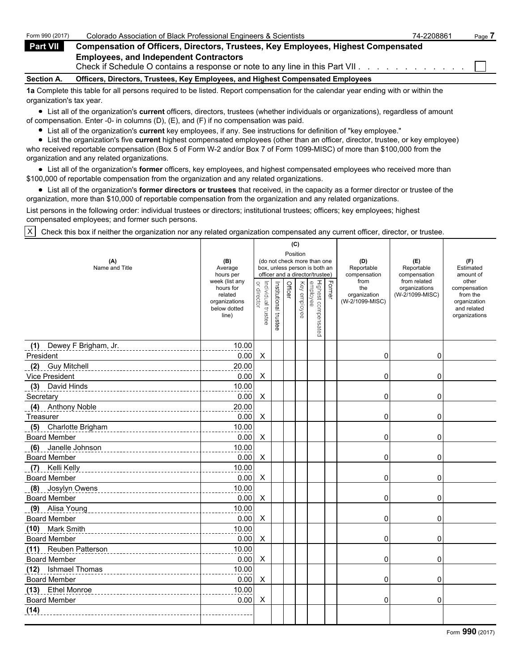| Form 990 (2017)   | Colorado Association of Black Professional Engineers & Scientists                                                                 | 74-2208861 | Page |
|-------------------|-----------------------------------------------------------------------------------------------------------------------------------|------------|------|
| Part VII          | <b>Compensation of Officers, Directors, Trustees, Key Employees, Highest Compensated</b>                                          |            |      |
|                   | <b>Employees, and Independent Contractors</b><br>Check if Schedule O contains a response or note to any line in this Part VII.    |            |      |
| <b>Section A.</b> | Officers, Directors, Trustees, Key Employees, and Highest Compensated Employees                                                   |            |      |
|                   | to Complete this table for all persons required to be listed. Penert compensation for the calendar vear ending with or within the |            |      |

**1a** Complete this table for all persons required to be listed. Report compensation for the calendar year ending with or within the organization's tax year.

List all of the organization's **current** officers, directors, trustees (whether individuals or organizations), regardless of amount of compensation. Enter -0- in columns (D), (E), and (F) if no compensation was paid.

List all of the organization's **current** key employees, if any. See instructions for definition of "key employee."

List the organization's five **current** highest compensated employees (other than an officer, director, trustee, or key employee) who received reportable compensation (Box 5 of Form W-2 and/or Box 7 of Form 1099-MISC) of more than \$100,000 from the organization and any related organizations.

List all of the organization's **former** officers, key employees, and highest compensated employees who received more than \$100,000 of reportable compensation from the organization and any related organizations.

List all of the organization's **former directors or trustees** that received, in the capacity as a former director or trustee of the organization, more than \$10,000 of reportable compensation from the organization and any related organizations.

List persons in the following order: individual trustees or directors; institutional trustees; officers; key employees; highest compensated employees; and former such persons.

X Check this box if neither the organization nor any related organization compensated any current officer, director, or trustee.

|                                                   |                                                                                  |                                   |                       | (C)      |              |                                                                                                 |        |                                                |                                                  |                                                                                   |
|---------------------------------------------------|----------------------------------------------------------------------------------|-----------------------------------|-----------------------|----------|--------------|-------------------------------------------------------------------------------------------------|--------|------------------------------------------------|--------------------------------------------------|-----------------------------------------------------------------------------------|
| (A)<br>Name and Title                             | (B)<br>Average<br>hours per                                                      |                                   |                       | Position |              | (do not check more than one<br>box, unless person is both an<br>officer and a director/trustee) |        | (D)<br>Reportable<br>compensation              | (E)<br>Reportable<br>compensation                | (F)<br>Estimated<br>amount of                                                     |
|                                                   | week (list any<br>hours for<br>related<br>organizations<br>below dotted<br>line) | or director<br>Individual trustee | Institutional trustee | Officer  | Key employee | Highest compensated<br>employee                                                                 | Former | from<br>the<br>organization<br>(W-2/1099-MISC) | from related<br>organizations<br>(W-2/1099-MISC) | other<br>compensation<br>from the<br>organization<br>and related<br>organizations |
| Dewey F Brigham, Jr.<br>(1)                       | 10.00                                                                            |                                   |                       |          |              |                                                                                                 |        |                                                |                                                  |                                                                                   |
| President                                         | 0.00                                                                             | X                                 |                       |          |              |                                                                                                 |        | 0                                              | 0                                                |                                                                                   |
| (2) Guy Mitchell                                  | 20.00                                                                            |                                   |                       |          |              |                                                                                                 |        |                                                |                                                  |                                                                                   |
| Vice President                                    | 0.00                                                                             | X                                 |                       |          |              |                                                                                                 |        | 0                                              | 0                                                |                                                                                   |
| (3) David Hinds<br>_________________________      | 10.00                                                                            |                                   |                       |          |              |                                                                                                 |        |                                                |                                                  |                                                                                   |
| Secretary                                         | 0.00                                                                             | X                                 |                       |          |              |                                                                                                 |        | 0                                              | 0                                                |                                                                                   |
| (4) Anthony Noble                                 | 20.00                                                                            |                                   |                       |          |              |                                                                                                 |        |                                                |                                                  |                                                                                   |
| Treasurer                                         | 0.00                                                                             | X                                 |                       |          |              |                                                                                                 |        | 0                                              | $\mathbf 0$                                      |                                                                                   |
| (5) Charlotte Brigham                             | 10.00                                                                            |                                   |                       |          |              |                                                                                                 |        |                                                |                                                  |                                                                                   |
| <b>Board Member</b>                               | 0.00                                                                             | X                                 |                       |          |              |                                                                                                 |        | 0                                              | 0                                                |                                                                                   |
| (6) Janelle Johnson                               | 10.00                                                                            |                                   |                       |          |              |                                                                                                 |        |                                                |                                                  |                                                                                   |
| <b>Board Member</b>                               | 0.00                                                                             | X                                 |                       |          |              |                                                                                                 |        | 0                                              | 0                                                |                                                                                   |
| (7) Kelli Kelly<br>------------------------------ | 10.00                                                                            |                                   |                       |          |              |                                                                                                 |        |                                                |                                                  |                                                                                   |
| <b>Board Member</b>                               | 0.00                                                                             | X                                 |                       |          |              |                                                                                                 |        | 0                                              | 0                                                |                                                                                   |
| (8) Josylyn Owens                                 | 10.00                                                                            |                                   |                       |          |              |                                                                                                 |        |                                                |                                                  |                                                                                   |
| <b>Board Member</b>                               | 0.00                                                                             | Χ                                 |                       |          |              |                                                                                                 |        | 0                                              | 0                                                |                                                                                   |
| (9) Alisa Young                                   | 10.00                                                                            |                                   |                       |          |              |                                                                                                 |        |                                                |                                                  |                                                                                   |
| <b>Board Member</b>                               | 0.00                                                                             | X                                 |                       |          |              |                                                                                                 |        | 0                                              | 0                                                |                                                                                   |
| (10) Mark Smith                                   | 10.00                                                                            |                                   |                       |          |              |                                                                                                 |        |                                                |                                                  |                                                                                   |
| <b>Board Member</b>                               | 0.00                                                                             | X                                 |                       |          |              |                                                                                                 |        | 0                                              | 0                                                |                                                                                   |
| (11) Reuben Patterson                             | 10.00                                                                            |                                   |                       |          |              |                                                                                                 |        |                                                |                                                  |                                                                                   |
| <b>Board Member</b>                               | 0.00                                                                             | X                                 |                       |          |              |                                                                                                 |        | 0                                              | 0                                                |                                                                                   |
| (12) Ishmael Thomas<br>10.00                      |                                                                                  |                                   |                       |          |              |                                                                                                 |        |                                                |                                                  |                                                                                   |
| <b>Board Member</b>                               | 0.00                                                                             | X                                 |                       |          |              |                                                                                                 |        | 0                                              | 0                                                |                                                                                   |
| (13) Ethel Monroe                                 | 10.00                                                                            |                                   |                       |          |              |                                                                                                 |        |                                                |                                                  |                                                                                   |
| <b>Board Member</b>                               | 0.00                                                                             | X                                 |                       |          |              |                                                                                                 |        | 0                                              | 0                                                |                                                                                   |
| (14)                                              |                                                                                  |                                   |                       |          |              |                                                                                                 |        |                                                |                                                  |                                                                                   |
|                                                   |                                                                                  |                                   |                       |          |              |                                                                                                 |        |                                                |                                                  |                                                                                   |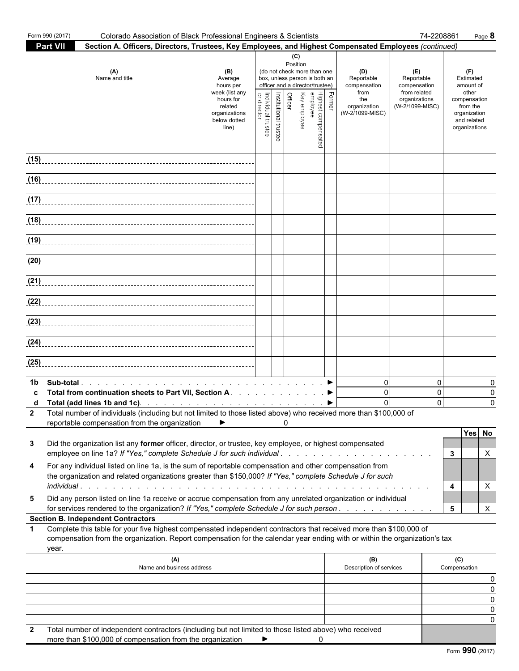| <b>Part VII</b><br>Section A. Officers, Directors, Trustees, Key Employees, and Highest Compensated Employees (continued)<br>(C)<br>Position<br>(do not check more than one<br>(A)<br>(D)<br>(F)<br>(B)<br>(E)<br>Name and title<br>Estimated<br>Average<br>box, unless person is both an<br>Reportable<br>Reportable<br>officer and a director/trustee)<br>hours per<br>compensation<br>compensation<br>amount of<br>from<br>from related<br>week (list any<br>other<br>Former<br>Officer<br>Institutional trustee<br>Key employee<br>Highest compensated<br>employee<br>Individual trustee<br>hours for<br>organizations<br>the<br>compensation<br>director<br>related<br>organization<br>(W-2/1099-MISC)<br>from the<br>(W-2/1099-MISC)<br>organizations<br>organization<br>below dotted<br>and related<br>organizations<br>line)<br>(23)<br>(25)<br>$\Omega$<br>$\Omega$<br>$\mathbf{0}$<br>1b<br>$\Omega$<br>Total from continuation sheets to Part VII, Section A. ▶<br>$\Omega$<br>0<br>$\Omega$<br>$\Omega$<br>$\mathbf{0}$<br>2 Total number of individuals (including but not limited to those listed above) who received more than \$100,000 of<br>reportable compensation from the organization<br>▶<br>0<br>Yes No<br>Did the organization list any former officer, director, or trustee, key employee, or highest compensated<br>3<br>employee on line 1a? If "Yes," complete Schedule J for such individual<br>3<br>X<br>For any individual listed on line 1a, is the sum of reportable compensation and other compensation from<br>4<br>the organization and related organizations greater than \$150,000? If "Yes," complete Schedule J for such<br>4<br>X<br>Did any person listed on line 1a receive or accrue compensation from any unrelated organization or individual<br>5<br>for services rendered to the organization? If "Yes," complete Schedule J for such person.<br>X<br>5<br><b>Section B. Independent Contractors</b><br>Complete this table for your five highest compensated independent contractors that received more than \$100,000 of<br>$\mathbf 1$<br>compensation from the organization. Report compensation for the calendar year ending with or within the organization's tax<br>year.<br>(B)<br>(A)<br>(C)<br>Name and business address<br>Description of services<br>Compensation<br>0<br>0<br>0<br>0<br>0<br>Total number of independent contractors (including but not limited to those listed above) who received<br>$\mathbf{2}$ | Form 990 (2017)<br>Colorado Association of Black Professional Engineers & Scientists |  |  |  |  |  | 74-2208861 | Page 8 |
|-----------------------------------------------------------------------------------------------------------------------------------------------------------------------------------------------------------------------------------------------------------------------------------------------------------------------------------------------------------------------------------------------------------------------------------------------------------------------------------------------------------------------------------------------------------------------------------------------------------------------------------------------------------------------------------------------------------------------------------------------------------------------------------------------------------------------------------------------------------------------------------------------------------------------------------------------------------------------------------------------------------------------------------------------------------------------------------------------------------------------------------------------------------------------------------------------------------------------------------------------------------------------------------------------------------------------------------------------------------------------------------------------------------------------------------------------------------------------------------------------------------------------------------------------------------------------------------------------------------------------------------------------------------------------------------------------------------------------------------------------------------------------------------------------------------------------------------------------------------------------------------------------------------------------------------------------------------------------------------------------------------------------------------------------------------------------------------------------------------------------------------------------------------------------------------------------------------------------------------------------------------------------------------------------------------------------------------------------------------------------------------------------------------------------------------------------------------------------------------|--------------------------------------------------------------------------------------|--|--|--|--|--|------------|--------|
| (15)<br>(16)<br>$\frac{1}{117}$<br>(18)<br>(20)<br>(21)<br>(22)<br>(24)                                                                                                                                                                                                                                                                                                                                                                                                                                                                                                                                                                                                                                                                                                                                                                                                                                                                                                                                                                                                                                                                                                                                                                                                                                                                                                                                                                                                                                                                                                                                                                                                                                                                                                                                                                                                                                                                                                                                                                                                                                                                                                                                                                                                                                                                                                                                                                                                           |                                                                                      |  |  |  |  |  |            |        |
|                                                                                                                                                                                                                                                                                                                                                                                                                                                                                                                                                                                                                                                                                                                                                                                                                                                                                                                                                                                                                                                                                                                                                                                                                                                                                                                                                                                                                                                                                                                                                                                                                                                                                                                                                                                                                                                                                                                                                                                                                                                                                                                                                                                                                                                                                                                                                                                                                                                                                   |                                                                                      |  |  |  |  |  |            |        |
|                                                                                                                                                                                                                                                                                                                                                                                                                                                                                                                                                                                                                                                                                                                                                                                                                                                                                                                                                                                                                                                                                                                                                                                                                                                                                                                                                                                                                                                                                                                                                                                                                                                                                                                                                                                                                                                                                                                                                                                                                                                                                                                                                                                                                                                                                                                                                                                                                                                                                   |                                                                                      |  |  |  |  |  |            |        |
|                                                                                                                                                                                                                                                                                                                                                                                                                                                                                                                                                                                                                                                                                                                                                                                                                                                                                                                                                                                                                                                                                                                                                                                                                                                                                                                                                                                                                                                                                                                                                                                                                                                                                                                                                                                                                                                                                                                                                                                                                                                                                                                                                                                                                                                                                                                                                                                                                                                                                   |                                                                                      |  |  |  |  |  |            |        |
|                                                                                                                                                                                                                                                                                                                                                                                                                                                                                                                                                                                                                                                                                                                                                                                                                                                                                                                                                                                                                                                                                                                                                                                                                                                                                                                                                                                                                                                                                                                                                                                                                                                                                                                                                                                                                                                                                                                                                                                                                                                                                                                                                                                                                                                                                                                                                                                                                                                                                   |                                                                                      |  |  |  |  |  |            |        |
|                                                                                                                                                                                                                                                                                                                                                                                                                                                                                                                                                                                                                                                                                                                                                                                                                                                                                                                                                                                                                                                                                                                                                                                                                                                                                                                                                                                                                                                                                                                                                                                                                                                                                                                                                                                                                                                                                                                                                                                                                                                                                                                                                                                                                                                                                                                                                                                                                                                                                   |                                                                                      |  |  |  |  |  |            |        |
|                                                                                                                                                                                                                                                                                                                                                                                                                                                                                                                                                                                                                                                                                                                                                                                                                                                                                                                                                                                                                                                                                                                                                                                                                                                                                                                                                                                                                                                                                                                                                                                                                                                                                                                                                                                                                                                                                                                                                                                                                                                                                                                                                                                                                                                                                                                                                                                                                                                                                   |                                                                                      |  |  |  |  |  |            |        |
|                                                                                                                                                                                                                                                                                                                                                                                                                                                                                                                                                                                                                                                                                                                                                                                                                                                                                                                                                                                                                                                                                                                                                                                                                                                                                                                                                                                                                                                                                                                                                                                                                                                                                                                                                                                                                                                                                                                                                                                                                                                                                                                                                                                                                                                                                                                                                                                                                                                                                   |                                                                                      |  |  |  |  |  |            |        |
|                                                                                                                                                                                                                                                                                                                                                                                                                                                                                                                                                                                                                                                                                                                                                                                                                                                                                                                                                                                                                                                                                                                                                                                                                                                                                                                                                                                                                                                                                                                                                                                                                                                                                                                                                                                                                                                                                                                                                                                                                                                                                                                                                                                                                                                                                                                                                                                                                                                                                   |                                                                                      |  |  |  |  |  |            |        |
|                                                                                                                                                                                                                                                                                                                                                                                                                                                                                                                                                                                                                                                                                                                                                                                                                                                                                                                                                                                                                                                                                                                                                                                                                                                                                                                                                                                                                                                                                                                                                                                                                                                                                                                                                                                                                                                                                                                                                                                                                                                                                                                                                                                                                                                                                                                                                                                                                                                                                   |                                                                                      |  |  |  |  |  |            |        |
|                                                                                                                                                                                                                                                                                                                                                                                                                                                                                                                                                                                                                                                                                                                                                                                                                                                                                                                                                                                                                                                                                                                                                                                                                                                                                                                                                                                                                                                                                                                                                                                                                                                                                                                                                                                                                                                                                                                                                                                                                                                                                                                                                                                                                                                                                                                                                                                                                                                                                   |                                                                                      |  |  |  |  |  |            |        |
|                                                                                                                                                                                                                                                                                                                                                                                                                                                                                                                                                                                                                                                                                                                                                                                                                                                                                                                                                                                                                                                                                                                                                                                                                                                                                                                                                                                                                                                                                                                                                                                                                                                                                                                                                                                                                                                                                                                                                                                                                                                                                                                                                                                                                                                                                                                                                                                                                                                                                   |                                                                                      |  |  |  |  |  |            |        |
|                                                                                                                                                                                                                                                                                                                                                                                                                                                                                                                                                                                                                                                                                                                                                                                                                                                                                                                                                                                                                                                                                                                                                                                                                                                                                                                                                                                                                                                                                                                                                                                                                                                                                                                                                                                                                                                                                                                                                                                                                                                                                                                                                                                                                                                                                                                                                                                                                                                                                   |                                                                                      |  |  |  |  |  |            |        |
|                                                                                                                                                                                                                                                                                                                                                                                                                                                                                                                                                                                                                                                                                                                                                                                                                                                                                                                                                                                                                                                                                                                                                                                                                                                                                                                                                                                                                                                                                                                                                                                                                                                                                                                                                                                                                                                                                                                                                                                                                                                                                                                                                                                                                                                                                                                                                                                                                                                                                   |                                                                                      |  |  |  |  |  |            |        |
|                                                                                                                                                                                                                                                                                                                                                                                                                                                                                                                                                                                                                                                                                                                                                                                                                                                                                                                                                                                                                                                                                                                                                                                                                                                                                                                                                                                                                                                                                                                                                                                                                                                                                                                                                                                                                                                                                                                                                                                                                                                                                                                                                                                                                                                                                                                                                                                                                                                                                   |                                                                                      |  |  |  |  |  |            |        |
|                                                                                                                                                                                                                                                                                                                                                                                                                                                                                                                                                                                                                                                                                                                                                                                                                                                                                                                                                                                                                                                                                                                                                                                                                                                                                                                                                                                                                                                                                                                                                                                                                                                                                                                                                                                                                                                                                                                                                                                                                                                                                                                                                                                                                                                                                                                                                                                                                                                                                   |                                                                                      |  |  |  |  |  |            |        |
|                                                                                                                                                                                                                                                                                                                                                                                                                                                                                                                                                                                                                                                                                                                                                                                                                                                                                                                                                                                                                                                                                                                                                                                                                                                                                                                                                                                                                                                                                                                                                                                                                                                                                                                                                                                                                                                                                                                                                                                                                                                                                                                                                                                                                                                                                                                                                                                                                                                                                   |                                                                                      |  |  |  |  |  |            |        |
|                                                                                                                                                                                                                                                                                                                                                                                                                                                                                                                                                                                                                                                                                                                                                                                                                                                                                                                                                                                                                                                                                                                                                                                                                                                                                                                                                                                                                                                                                                                                                                                                                                                                                                                                                                                                                                                                                                                                                                                                                                                                                                                                                                                                                                                                                                                                                                                                                                                                                   |                                                                                      |  |  |  |  |  |            |        |
|                                                                                                                                                                                                                                                                                                                                                                                                                                                                                                                                                                                                                                                                                                                                                                                                                                                                                                                                                                                                                                                                                                                                                                                                                                                                                                                                                                                                                                                                                                                                                                                                                                                                                                                                                                                                                                                                                                                                                                                                                                                                                                                                                                                                                                                                                                                                                                                                                                                                                   |                                                                                      |  |  |  |  |  |            |        |
|                                                                                                                                                                                                                                                                                                                                                                                                                                                                                                                                                                                                                                                                                                                                                                                                                                                                                                                                                                                                                                                                                                                                                                                                                                                                                                                                                                                                                                                                                                                                                                                                                                                                                                                                                                                                                                                                                                                                                                                                                                                                                                                                                                                                                                                                                                                                                                                                                                                                                   |                                                                                      |  |  |  |  |  |            |        |
|                                                                                                                                                                                                                                                                                                                                                                                                                                                                                                                                                                                                                                                                                                                                                                                                                                                                                                                                                                                                                                                                                                                                                                                                                                                                                                                                                                                                                                                                                                                                                                                                                                                                                                                                                                                                                                                                                                                                                                                                                                                                                                                                                                                                                                                                                                                                                                                                                                                                                   |                                                                                      |  |  |  |  |  |            |        |
|                                                                                                                                                                                                                                                                                                                                                                                                                                                                                                                                                                                                                                                                                                                                                                                                                                                                                                                                                                                                                                                                                                                                                                                                                                                                                                                                                                                                                                                                                                                                                                                                                                                                                                                                                                                                                                                                                                                                                                                                                                                                                                                                                                                                                                                                                                                                                                                                                                                                                   |                                                                                      |  |  |  |  |  |            |        |
|                                                                                                                                                                                                                                                                                                                                                                                                                                                                                                                                                                                                                                                                                                                                                                                                                                                                                                                                                                                                                                                                                                                                                                                                                                                                                                                                                                                                                                                                                                                                                                                                                                                                                                                                                                                                                                                                                                                                                                                                                                                                                                                                                                                                                                                                                                                                                                                                                                                                                   |                                                                                      |  |  |  |  |  |            |        |

| more than \$100,000 of compensation from the organization |  |  |
|-----------------------------------------------------------|--|--|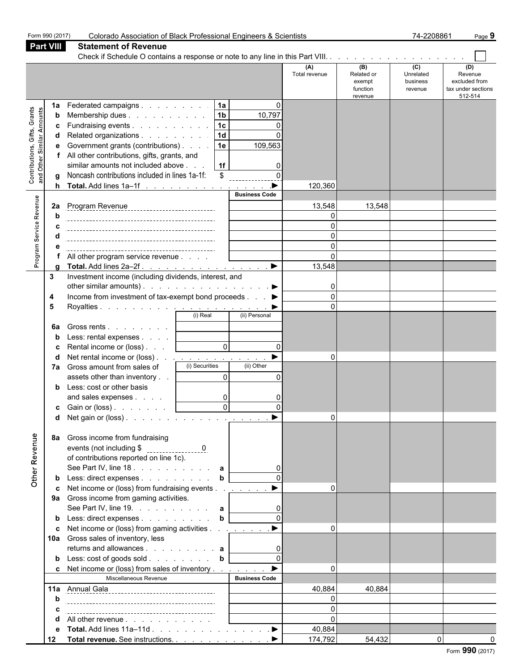|                                                                 | Form 990 (2017)<br>Colorado Association of Black Professional Engineers & Scientists |                                                                                                                                                                                                                                                                                                                                                                                                                                                                                                           |                                                                      |                                                                                             |                      |                                                    | 74-2208861<br>Page 9                               |                                                                  |  |  |  |
|-----------------------------------------------------------------|--------------------------------------------------------------------------------------|-----------------------------------------------------------------------------------------------------------------------------------------------------------------------------------------------------------------------------------------------------------------------------------------------------------------------------------------------------------------------------------------------------------------------------------------------------------------------------------------------------------|----------------------------------------------------------------------|---------------------------------------------------------------------------------------------|----------------------|----------------------------------------------------|----------------------------------------------------|------------------------------------------------------------------|--|--|--|
|                                                                 | Part VIII<br><b>Statement of Revenue</b>                                             |                                                                                                                                                                                                                                                                                                                                                                                                                                                                                                           |                                                                      |                                                                                             |                      |                                                    |                                                    |                                                                  |  |  |  |
|                                                                 |                                                                                      |                                                                                                                                                                                                                                                                                                                                                                                                                                                                                                           |                                                                      |                                                                                             |                      |                                                    |                                                    |                                                                  |  |  |  |
|                                                                 |                                                                                      |                                                                                                                                                                                                                                                                                                                                                                                                                                                                                                           |                                                                      |                                                                                             | (A)<br>Total revenue | (B)<br>Related or<br>exempt<br>function<br>revenue | $\overline{c}$<br>Unrelated<br>business<br>revenue | (D)<br>Revenue<br>excluded from<br>tax under sections<br>512-514 |  |  |  |
| Gifts, Grants<br>Amounts<br>and Other Similar<br>Contributions, | 1a<br>b<br>c                                                                         | Federated campaigns<br>Membership dues<br>Fundraising events<br>Related organizations<br>Government grants (contributions)<br>All other contributions, gifts, grants, and<br>similar amounts not included above<br>Noncash contributions included in lines 1a-1f:<br>Total. Add lines 1a-1f                                                                                                                                                                                                               | 1a <br>1 <sub>b</sub><br> 1c <br> 1d <br> 1e<br> 1f <br>$\mathbb{S}$ | $\Omega$<br>10,797<br>$\Omega$<br>109,563<br>$\mathbf 0$<br>المستشف والمستحدث والمنادر<br>▶ | 120,360              |                                                    |                                                    |                                                                  |  |  |  |
|                                                                 |                                                                                      |                                                                                                                                                                                                                                                                                                                                                                                                                                                                                                           |                                                                      | <b>Business Code</b>                                                                        |                      |                                                    |                                                    |                                                                  |  |  |  |
|                                                                 | 2a                                                                                   | Program Revenue                                                                                                                                                                                                                                                                                                                                                                                                                                                                                           |                                                                      |                                                                                             | 13,548               | 13,548                                             |                                                    |                                                                  |  |  |  |
|                                                                 |                                                                                      |                                                                                                                                                                                                                                                                                                                                                                                                                                                                                                           |                                                                      |                                                                                             | $\Omega$             |                                                    |                                                    |                                                                  |  |  |  |
|                                                                 |                                                                                      |                                                                                                                                                                                                                                                                                                                                                                                                                                                                                                           |                                                                      |                                                                                             |                      |                                                    |                                                    |                                                                  |  |  |  |
|                                                                 |                                                                                      |                                                                                                                                                                                                                                                                                                                                                                                                                                                                                                           |                                                                      |                                                                                             |                      |                                                    |                                                    |                                                                  |  |  |  |
|                                                                 |                                                                                      | All other program service revenue                                                                                                                                                                                                                                                                                                                                                                                                                                                                         |                                                                      |                                                                                             | $\Omega$<br>$\Omega$ |                                                    |                                                    |                                                                  |  |  |  |
| Program Service Revenue                                         |                                                                                      | Total. Add lines 2a-2f.                                                                                                                                                                                                                                                                                                                                                                                                                                                                                   |                                                                      | $\overline{\phantom{a}}$                                                                    | 13,548               |                                                    |                                                    |                                                                  |  |  |  |
|                                                                 | 3                                                                                    | Investment income (including dividends, interest, and                                                                                                                                                                                                                                                                                                                                                                                                                                                     |                                                                      |                                                                                             |                      |                                                    |                                                    |                                                                  |  |  |  |
|                                                                 |                                                                                      | other similar amounts). $\ldots$ $\ldots$ $\ldots$ $\ldots$ $\ldots$ $\ldots$                                                                                                                                                                                                                                                                                                                                                                                                                             |                                                                      |                                                                                             | 0                    |                                                    |                                                    |                                                                  |  |  |  |
|                                                                 | 4                                                                                    | Income from investment of tax-exempt bond proceeds ▶                                                                                                                                                                                                                                                                                                                                                                                                                                                      |                                                                      |                                                                                             | $\Omega$             |                                                    |                                                    |                                                                  |  |  |  |
|                                                                 | 5                                                                                    |                                                                                                                                                                                                                                                                                                                                                                                                                                                                                                           |                                                                      |                                                                                             | $\Omega$             |                                                    |                                                    |                                                                  |  |  |  |
|                                                                 |                                                                                      |                                                                                                                                                                                                                                                                                                                                                                                                                                                                                                           | (i) Real                                                             | (ii) Personal                                                                               |                      |                                                    |                                                    |                                                                  |  |  |  |
|                                                                 | 6a                                                                                   | Gross rents $\ldots$ $\ldots$ $\ldots$ $\vdots$                                                                                                                                                                                                                                                                                                                                                                                                                                                           |                                                                      |                                                                                             |                      |                                                    |                                                    |                                                                  |  |  |  |
|                                                                 |                                                                                      |                                                                                                                                                                                                                                                                                                                                                                                                                                                                                                           | $\overline{\circ}$                                                   | $\Omega$                                                                                    |                      |                                                    |                                                    |                                                                  |  |  |  |
|                                                                 |                                                                                      | Rental income or (loss)  <br>Net rental income or (loss) <u>.</u>                                                                                                                                                                                                                                                                                                                                                                                                                                         |                                                                      | $\blacktriangleright$                                                                       | 0                    |                                                    |                                                    |                                                                  |  |  |  |
|                                                                 | 7a                                                                                   | Gross amount from sales of                                                                                                                                                                                                                                                                                                                                                                                                                                                                                | (i) Securities                                                       | (ii) Other                                                                                  |                      |                                                    |                                                    |                                                                  |  |  |  |
|                                                                 |                                                                                      | assets other than inventory                                                                                                                                                                                                                                                                                                                                                                                                                                                                               | $\overline{0}$                                                       | $\Omega$                                                                                    |                      |                                                    |                                                    |                                                                  |  |  |  |
|                                                                 |                                                                                      | <b>b</b> Less: cost or other basis                                                                                                                                                                                                                                                                                                                                                                                                                                                                        |                                                                      |                                                                                             |                      |                                                    |                                                    |                                                                  |  |  |  |
|                                                                 |                                                                                      | and sales expenses                                                                                                                                                                                                                                                                                                                                                                                                                                                                                        | $\overline{0}$                                                       |                                                                                             |                      |                                                    |                                                    |                                                                  |  |  |  |
|                                                                 |                                                                                      | <b>c</b> Gain or (loss) $\ldots$ $\ldots$                                                                                                                                                                                                                                                                                                                                                                                                                                                                 | $\overline{0}$                                                       | $\Omega$                                                                                    |                      |                                                    |                                                    |                                                                  |  |  |  |
|                                                                 |                                                                                      |                                                                                                                                                                                                                                                                                                                                                                                                                                                                                                           |                                                                      |                                                                                             |                      |                                                    |                                                    |                                                                  |  |  |  |
| Other Revenue                                                   | 8а                                                                                   | Gross income from fundraising<br>of contributions reported on line 1c).<br>See Part IV, line 18. $\ldots$ $\ldots$ $\ldots$ $\ldots$ a                                                                                                                                                                                                                                                                                                                                                                    |                                                                      |                                                                                             |                      |                                                    |                                                    |                                                                  |  |  |  |
|                                                                 |                                                                                      | Less: direct expenses<br>Net income or (loss) from fundraising events                                                                                                                                                                                                                                                                                                                                                                                                                                     | $\mathbf b$                                                          |                                                                                             | $\Omega$             |                                                    |                                                    |                                                                  |  |  |  |
|                                                                 | 9а                                                                                   | Gross income from gaming activities.                                                                                                                                                                                                                                                                                                                                                                                                                                                                      |                                                                      |                                                                                             |                      |                                                    |                                                    |                                                                  |  |  |  |
|                                                                 |                                                                                      | See Part IV, line 19. $\ldots$ $\ldots$ $\ldots$ a                                                                                                                                                                                                                                                                                                                                                                                                                                                        |                                                                      |                                                                                             |                      |                                                    |                                                    |                                                                  |  |  |  |
|                                                                 |                                                                                      | Less: direct expenses                                                                                                                                                                                                                                                                                                                                                                                                                                                                                     | $\mathbf b$                                                          |                                                                                             |                      |                                                    |                                                    |                                                                  |  |  |  |
|                                                                 |                                                                                      | Net income or (loss) from gaming activities ▶                                                                                                                                                                                                                                                                                                                                                                                                                                                             |                                                                      |                                                                                             | $\Omega$             |                                                    |                                                    |                                                                  |  |  |  |
|                                                                 |                                                                                      | 10a Gross sales of inventory, less<br>returns and allowances $\therefore$ $\therefore$ $\therefore$ $\therefore$ $\therefore$ $\therefore$ $\therefore$ $\therefore$ $\therefore$ $\therefore$ $\therefore$ $\therefore$ $\therefore$ $\therefore$ $\therefore$ $\therefore$ $\therefore$ $\therefore$ $\therefore$ $\therefore$ $\therefore$ $\therefore$ $\therefore$ $\therefore$ $\therefore$ $\therefore$ $\therefore$ $\therefore$ $\therefore$ $\therefore$ $\therefore$ $\therefore$ $\therefore$ |                                                                      |                                                                                             |                      |                                                    |                                                    |                                                                  |  |  |  |
|                                                                 |                                                                                      | <b>b</b> Less: cost of goods sold <b>b</b>                                                                                                                                                                                                                                                                                                                                                                                                                                                                |                                                                      |                                                                                             |                      |                                                    |                                                    |                                                                  |  |  |  |
|                                                                 |                                                                                      | c Net income or (loss) from sales of inventory                                                                                                                                                                                                                                                                                                                                                                                                                                                            |                                                                      |                                                                                             | $\Omega$             |                                                    |                                                    |                                                                  |  |  |  |
|                                                                 |                                                                                      | Miscellaneous Revenue                                                                                                                                                                                                                                                                                                                                                                                                                                                                                     |                                                                      | <b>Business Code</b>                                                                        |                      |                                                    |                                                    |                                                                  |  |  |  |
|                                                                 |                                                                                      |                                                                                                                                                                                                                                                                                                                                                                                                                                                                                                           |                                                                      |                                                                                             | 40,884               | 40,884                                             |                                                    |                                                                  |  |  |  |
|                                                                 |                                                                                      |                                                                                                                                                                                                                                                                                                                                                                                                                                                                                                           |                                                                      |                                                                                             | $\Omega$             |                                                    |                                                    |                                                                  |  |  |  |
|                                                                 |                                                                                      | All other revenue                                                                                                                                                                                                                                                                                                                                                                                                                                                                                         |                                                                      |                                                                                             | $\Omega$             |                                                    |                                                    |                                                                  |  |  |  |
|                                                                 |                                                                                      | Total. Add lines 11a–11d ▶                                                                                                                                                                                                                                                                                                                                                                                                                                                                                |                                                                      |                                                                                             | 40,884               |                                                    |                                                    |                                                                  |  |  |  |
|                                                                 | 12                                                                                   | Total revenue. See instructions. ▶                                                                                                                                                                                                                                                                                                                                                                                                                                                                        |                                                                      |                                                                                             | 174,792              | 54,432                                             | $\overline{0}$                                     |                                                                  |  |  |  |
|                                                                 |                                                                                      |                                                                                                                                                                                                                                                                                                                                                                                                                                                                                                           |                                                                      |                                                                                             |                      |                                                    |                                                    |                                                                  |  |  |  |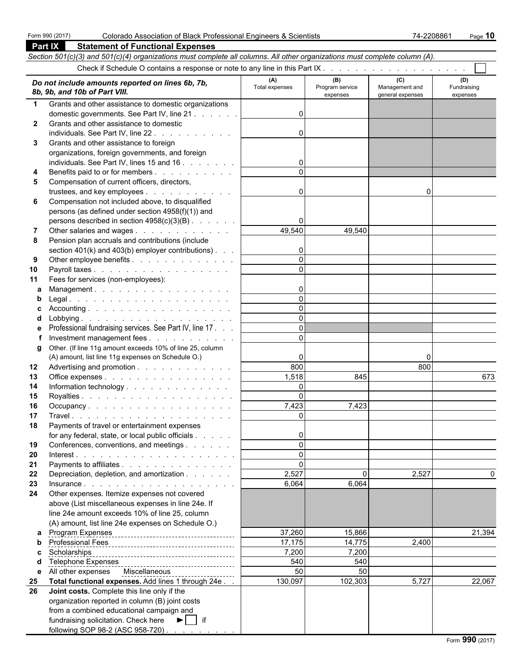**Part IX Statement of Functional Expenses**

|              | Section 501(c)(3) and 501(c)(4) organizations must complete all columns. All other organizations must complete column (A). |                       |                                    |                                           |                                |
|--------------|----------------------------------------------------------------------------------------------------------------------------|-----------------------|------------------------------------|-------------------------------------------|--------------------------------|
|              |                                                                                                                            |                       |                                    |                                           |                                |
|              | Do not include amounts reported on lines 6b, 7b,<br>8b, 9b, and 10b of Part VIII.                                          | (A)<br>Total expenses | (B)<br>Program service<br>expenses | (C)<br>Management and<br>general expenses | (D)<br>Fundraising<br>expenses |
| $\mathbf 1$  | Grants and other assistance to domestic organizations                                                                      |                       |                                    |                                           |                                |
|              | domestic governments. See Part IV, line 21                                                                                 | $\Omega$              |                                    |                                           |                                |
| $\mathbf{2}$ | Grants and other assistance to domestic                                                                                    |                       |                                    |                                           |                                |
|              | individuals. See Part IV, line 22                                                                                          | $\mathbf{0}$          |                                    |                                           |                                |
| 3            | Grants and other assistance to foreign                                                                                     |                       |                                    |                                           |                                |
|              | organizations, foreign governments, and foreign                                                                            |                       |                                    |                                           |                                |
|              | individuals. See Part IV, lines 15 and 16                                                                                  | 0<br>$\Omega$         |                                    |                                           |                                |
| 4            | Benefits paid to or for members                                                                                            |                       |                                    |                                           |                                |
| 5            | Compensation of current officers, directors,<br>trustees, and key employees                                                | $\Omega$              |                                    | 0                                         |                                |
| 6            | Compensation not included above, to disqualified                                                                           |                       |                                    |                                           |                                |
|              | persons (as defined under section 4958(f)(1)) and                                                                          |                       |                                    |                                           |                                |
|              | persons described in section $4958(c)(3)(B)$ .                                                                             | $\Omega$              |                                    |                                           |                                |
| 7            | Other salaries and wages                                                                                                   | 49,540                | 49,540                             |                                           |                                |
| 8            | Pension plan accruals and contributions (include                                                                           |                       |                                    |                                           |                                |
|              | section $401(k)$ and $403(b)$ employer contributions).                                                                     | $\overline{0}$        |                                    |                                           |                                |
| 9            | Other employee benefits                                                                                                    | $\Omega$              |                                    |                                           |                                |
| 10           | Payroll taxes                                                                                                              |                       |                                    |                                           |                                |
| 11           | Fees for services (non-employees):                                                                                         |                       |                                    |                                           |                                |
| a            | Management.                                                                                                                | $\Omega$              |                                    |                                           |                                |
| b            |                                                                                                                            | $\Omega$              |                                    |                                           |                                |
|              |                                                                                                                            | $\Omega$<br>$\Omega$  |                                    |                                           |                                |
| d            |                                                                                                                            | $\Omega$              |                                    |                                           |                                |
|              | Professional fundraising services. See Part IV, line 17.<br>Investment management fees                                     | $\Omega$              |                                    |                                           |                                |
| g            | Other. (If line 11g amount exceeds 10% of line 25, column                                                                  |                       |                                    |                                           |                                |
|              | (A) amount, list line 11g expenses on Schedule O.)                                                                         | 0                     |                                    | O                                         |                                |
| 12           | Advertising and promotion                                                                                                  | 800                   |                                    | 800                                       |                                |
| 13           | Office expenses                                                                                                            | 1,518                 | 845                                |                                           | 673                            |
| 14           | Information technology                                                                                                     | $\Omega$              |                                    |                                           |                                |
| 15           |                                                                                                                            | $\Omega$              |                                    |                                           |                                |
| 16           | Occupancy                                                                                                                  | 7,423                 | 7,423                              |                                           |                                |
| 17           |                                                                                                                            | $\Omega$              |                                    |                                           |                                |
| 18           | Payments of travel or entertainment expenses                                                                               |                       |                                    |                                           |                                |
|              | for any federal, state, or local public officials                                                                          | $\cup$                |                                    |                                           |                                |
| 19           | Conferences, conventions, and meetings                                                                                     | $\Omega$              |                                    |                                           |                                |
| 20<br>21     | Payments to affiliates                                                                                                     | $\Omega$<br>$\Omega$  |                                    |                                           |                                |
| 22           | Depreciation, depletion, and amortization                                                                                  | 2,527                 | $\Omega$                           | 2,527                                     |                                |
| 23           |                                                                                                                            | 6,064                 | 6,064                              |                                           |                                |
| 24           | Other expenses. Itemize expenses not covered                                                                               |                       |                                    |                                           |                                |
|              | above (List miscellaneous expenses in line 24e. If                                                                         |                       |                                    |                                           |                                |
|              | line 24e amount exceeds 10% of line 25, column                                                                             |                       |                                    |                                           |                                |
|              | (A) amount, list line 24e expenses on Schedule O.)                                                                         |                       |                                    |                                           |                                |
|              |                                                                                                                            | 37,260                | 15,866                             |                                           | 21,394                         |
| b            |                                                                                                                            | 17,175                | 14,775                             | 2,400                                     |                                |
|              |                                                                                                                            | 7,200                 | 7,200                              |                                           |                                |
|              | Telephone Expenses<br><u>Latenaria - American and Telephone</u>                                                            | 540                   | 540                                |                                           |                                |
| е            | Miscellaneous<br>All other expenses                                                                                        | 50                    | 50                                 |                                           |                                |
| 25           | Total functional expenses. Add lines 1 through 24e                                                                         | 130,097               | 102,303                            | 5,727                                     | 22,067                         |
| 26           | Joint costs. Complete this line only if the<br>organization reported in column (B) joint costs                             |                       |                                    |                                           |                                |
|              | from a combined educational campaign and                                                                                   |                       |                                    |                                           |                                |
|              | fundraising solicitation. Check here $\blacktriangleright$   if                                                            |                       |                                    |                                           |                                |
|              | following SOP 98-2 (ASC 958-720)                                                                                           |                       |                                    |                                           |                                |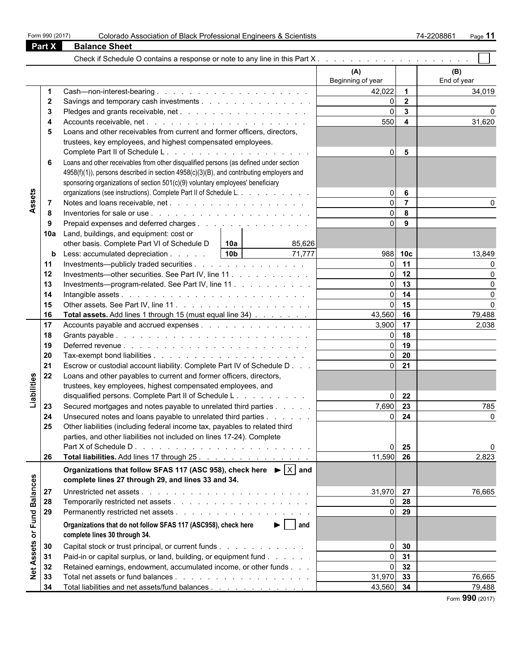| Form 990 (2017) |  |  |  |
|-----------------|--|--|--|
|-----------------|--|--|--|

|                              | <b>Part X</b> | <b>Balance Sheet</b>                                                                                                                                |                            |                         |                    |
|------------------------------|---------------|-----------------------------------------------------------------------------------------------------------------------------------------------------|----------------------------|-------------------------|--------------------|
|                              |               |                                                                                                                                                     |                            |                         |                    |
|                              |               |                                                                                                                                                     | (A)<br>Beginning of year   |                         | (B)<br>End of year |
|                              |               |                                                                                                                                                     | $42,022$ 1                 |                         | 34,019             |
|                              | $\mathbf{2}$  | Savings and temporary cash investments                                                                                                              |                            | $\overline{\mathbf{2}}$ |                    |
|                              | 3             | Pledges and grants receivable, net                                                                                                                  |                            | $\mathbf{3}$            |                    |
|                              | 4             |                                                                                                                                                     | 550                        | $\overline{\mathbf{4}}$ | 31,620             |
|                              | 5             | Loans and other receivables from current and former officers, directors,                                                                            |                            |                         |                    |
|                              |               | trustees, key employees, and highest compensated employees.                                                                                         |                            |                         |                    |
|                              |               |                                                                                                                                                     | οI                         | 5                       |                    |
|                              | 6             | Loans and other receivables from other disqualified persons (as defined under section                                                               |                            |                         |                    |
|                              |               | 4958(f)(1)), persons described in section 4958(c)(3)(B), and contributing employers and                                                             |                            |                         |                    |
|                              |               | sponsoring organizations of section 501(c)(9) voluntary employees' beneficiary                                                                      |                            |                         |                    |
|                              |               | organizations (see instructions). Complete Part II of Schedule L.                                                                                   | $\overline{0}$             | 6                       |                    |
| Assets                       |               |                                                                                                                                                     |                            | $\overline{7}$          |                    |
|                              | -8            |                                                                                                                                                     | $\Omega$                   | 8                       |                    |
|                              | 9             | Prepaid expenses and deferred charges                                                                                                               | $\overline{0}$             | 9                       |                    |
|                              | 10a           | Land, buildings, and equipment: cost or                                                                                                             |                            |                         |                    |
|                              |               | other basis. Complete Part VI of Schedule D<br>85,626<br>10a                                                                                        |                            |                         |                    |
|                              | b             | 71,777<br>10 <sub>b</sub><br>Less: accumulated depreciation                                                                                         |                            | 988 10c                 | 13,849             |
|                              | 11            | Investments—publicly traded securities                                                                                                              |                            | $0$ 11                  |                    |
|                              | 12            | Investments—other securities. See Part IV, line 11.                                                                                                 |                            | $0$ 12                  |                    |
|                              | 13            | Investments—program-related. See Part IV, line 11                                                                                                   |                            | $0$ 13                  |                    |
|                              | 14            |                                                                                                                                                     |                            | $0$ 14                  | $\Omega$           |
|                              | 15            |                                                                                                                                                     | $\overline{0}$             | 15                      | $\Omega$           |
|                              | 16            |                                                                                                                                                     | 43,560 16                  |                         | 79,488             |
|                              | 17            | Total assets. Add lines 1 through 15 (must equal line 34)                                                                                           | 3,900 17                   |                         | 2,038              |
|                              | 18            |                                                                                                                                                     |                            | $0$ 18                  |                    |
|                              | 19            |                                                                                                                                                     |                            | 19                      |                    |
|                              | 20            |                                                                                                                                                     |                            | 20                      |                    |
|                              | 21            | Escrow or custodial account liability. Complete Part IV of Schedule D                                                                               | $\Omega$                   | 21                      |                    |
|                              | 22            | Loans and other payables to current and former officers, directors,                                                                                 |                            |                         |                    |
|                              |               |                                                                                                                                                     |                            |                         |                    |
|                              |               | trustees, key employees, highest compensated employees, and                                                                                         |                            |                         |                    |
| Liabilities                  |               | disqualified persons. Complete Part II of Schedule L.                                                                                               | $\overline{0}$<br>7,690 23 | 22                      |                    |
|                              | 23            | Secured mortgages and notes payable to unrelated third parties                                                                                      |                            | 24                      | 785<br>$\Omega$    |
|                              | 24            | Unsecured notes and loans payable to unrelated third parties                                                                                        |                            |                         |                    |
|                              | 25            | Other liabilities (including federal income tax, payables to related third<br>parties, and other liabilities not included on lines 17-24). Complete |                            |                         |                    |
|                              |               |                                                                                                                                                     |                            |                         |                    |
|                              |               |                                                                                                                                                     | 11,590 26                  | 25                      | 0<br>2,823         |
|                              | 26            | Total liabilities. Add lines 17 through 25.                                                                                                         |                            |                         |                    |
|                              |               | Organizations that follow SFAS 117 (ASC 958), check here $\blacktriangleright$ $ X $ and                                                            |                            |                         |                    |
| <b>Balances</b>              |               | complete lines 27 through 29, and lines 33 and 34.                                                                                                  |                            |                         |                    |
|                              | 27            |                                                                                                                                                     | 31,970                     | 27                      | 76,665             |
|                              | 28            |                                                                                                                                                     |                            | 28                      |                    |
|                              | 29            |                                                                                                                                                     |                            | 29                      |                    |
| Fund                         |               | Organizations that do not follow SFAS 117 (ASC958), check here<br>$\blacktriangleright$   and                                                       |                            |                         |                    |
| $\overleftarrow{\mathtt{o}}$ |               | complete lines 30 through 34.                                                                                                                       |                            |                         |                    |
|                              | 30            | Capital stock or trust principal, or current funds                                                                                                  | $\overline{0}$             | 30                      |                    |
| <b>Net Assets</b>            | 31            | Paid-in or capital surplus, or land, building, or equipment fund                                                                                    |                            | 31                      |                    |
|                              | 32            | Retained earnings, endowment, accumulated income, or other funds                                                                                    | $\Omega$                   | 32                      |                    |
|                              | 33            |                                                                                                                                                     | $31,970$ 33                |                         | 76,665             |
|                              | 34            | Total liabilities and net assets/fund balances                                                                                                      | 43,560 34                  |                         | 79,488             |

Form **990** (2017)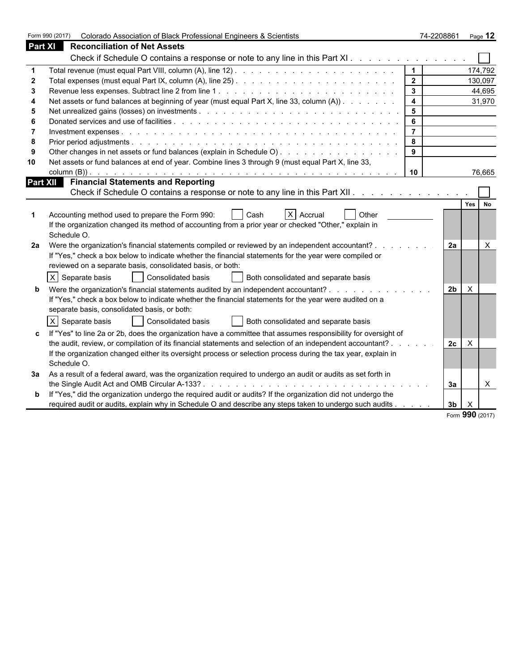|    | Form 990 (2017)<br>Colorado Association of Black Professional Engineers & Scientists                           |                 | 74-2208861     | Page 12  |           |
|----|----------------------------------------------------------------------------------------------------------------|-----------------|----------------|----------|-----------|
|    | Part XI<br><b>Reconciliation of Net Assets</b>                                                                 |                 |                |          |           |
|    | Check if Schedule O contains a response or note to any line in this Part XI                                    |                 |                |          |           |
|    |                                                                                                                | $\vert$ 1       |                | 174,792  |           |
|    |                                                                                                                | $\overline{2}$  |                | 130,097  |           |
|    |                                                                                                                | $\mathbf{3}$    |                |          | 44,695    |
|    | Net assets or fund balances at beginning of year (must equal Part X, line 33, column (A))                      | $\overline{4}$  |                | 31,970   |           |
|    |                                                                                                                | $5\phantom{.0}$ |                |          |           |
|    |                                                                                                                | 6               |                |          |           |
|    |                                                                                                                | $\overline{7}$  |                |          |           |
| 8  |                                                                                                                | 8               |                |          |           |
|    | Other changes in net assets or fund balances (explain in Schedule O)                                           | 9               |                |          |           |
| 10 | Net assets or fund balances at end of year. Combine lines 3 through 9 (must equal Part X, line 33,             |                 |                |          |           |
|    |                                                                                                                | 10              |                |          | 76,665    |
|    | Part XII Financial Statements and Reporting                                                                    |                 |                |          |           |
|    | Check if Schedule O contains a response or note to any line in this Part XII.                                  |                 |                |          |           |
|    |                                                                                                                |                 |                | Yes      | <b>No</b> |
|    | X Accrual<br>Accounting method used to prepare the Form 990:<br>Other<br>Cash                                  |                 |                |          |           |
|    | If the organization changed its method of accounting from a prior year or checked "Other," explain in          |                 |                |          |           |
|    | Schedule O.                                                                                                    |                 |                |          |           |
| 2a | Were the organization's financial statements compiled or reviewed by an independent accountant? .              |                 | 2a             |          | $\times$  |
|    | If "Yes," check a box below to indicate whether the financial statements for the year were compiled or         |                 |                |          |           |
|    | reviewed on a separate basis, consolidated basis, or both:                                                     |                 |                |          |           |
|    | $ X $ Separate basis<br>Consolidated basis<br>Both consolidated and separate basis                             |                 |                |          |           |
|    |                                                                                                                |                 |                |          |           |
|    | Were the organization's financial statements audited by an independent accountant?                             |                 | 2 <sub>b</sub> | X        |           |
|    | If "Yes," check a box below to indicate whether the financial statements for the year were audited on a        |                 |                |          |           |
|    | separate basis, consolidated basis, or both:                                                                   |                 |                |          |           |
|    | $ X $ Separate basis<br>Consolidated basis<br>Both consolidated and separate basis                             |                 |                |          |           |
| C  | If "Yes" to line 2a or 2b, does the organization have a committee that assumes responsibility for oversight of |                 |                |          |           |
|    | the audit, review, or compilation of its financial statements and selection of an independent accountant?.     |                 | 2c             | $\times$ |           |
|    | If the organization changed either its oversight process or selection process during the tax year, explain in  |                 |                |          |           |
|    | Schedule O.                                                                                                    |                 |                |          |           |
| За | As a result of a federal award, was the organization required to undergo an audit or audits as set forth in    |                 |                |          |           |
|    |                                                                                                                |                 | За             |          | $\times$  |
|    | If "Yes," did the organization undergo the required audit or audits? If the organization did not undergo the   |                 |                |          |           |
|    | required audit or audits, explain why in Schedule O and describe any steps taken to undergo such audits        |                 | 3 <sub>b</sub> | X        |           |

Form **990** (2017)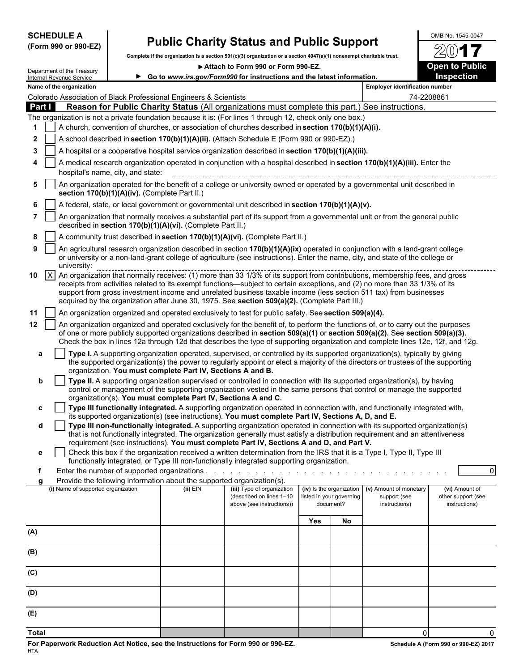| <b>SCHEDULE A</b> |  |                      |
|-------------------|--|----------------------|
|                   |  | (Form 990 or 990-EZ) |

# **Public Charity Status and Public Support**  $\frac{\text{OMB No. 1545-0047}}{20}$

**Complete if the organization is a section 501(c)(3) organization or a section 4947(a)(1) nonexempt charitable trust.**

▶ Attach to Form 990 or Form 990-EZ. **Dem to Public** 

|              |              | Department of the Treasury         |                                               |                                                                                      | ALLECTI TO LOLLII ABO OL LOLLII ABO-ET                                                                                                                                                                                                                                     |     |                                       |                                                     | open to Fublic                      |  |
|--------------|--------------|------------------------------------|-----------------------------------------------|--------------------------------------------------------------------------------------|----------------------------------------------------------------------------------------------------------------------------------------------------------------------------------------------------------------------------------------------------------------------------|-----|---------------------------------------|-----------------------------------------------------|-------------------------------------|--|
|              |              | Internal Revenue Service           |                                               |                                                                                      | ► Go to www.irs.gov/Form990 for instructions and the latest information.                                                                                                                                                                                                   |     |                                       |                                                     | Inspection                          |  |
|              |              | Name of the organization           |                                               | Colorado Association of Black Professional Engineers & Scientists                    |                                                                                                                                                                                                                                                                            |     |                                       | <b>Employer identification number</b><br>74-2208861 |                                     |  |
| Part I       |              |                                    |                                               |                                                                                      | Reason for Public Charity Status (All organizations must complete this part.) See instructions.                                                                                                                                                                            |     |                                       |                                                     |                                     |  |
|              |              |                                    |                                               |                                                                                      | The organization is not a private foundation because it is: (For lines 1 through 12, check only one box.)                                                                                                                                                                  |     |                                       |                                                     |                                     |  |
| 1            |              |                                    |                                               |                                                                                      | A church, convention of churches, or association of churches described in section 170(b)(1)(A)(i).                                                                                                                                                                         |     |                                       |                                                     |                                     |  |
| $\mathbf{2}$ |              |                                    |                                               |                                                                                      | A school described in section 170(b)(1)(A)(ii). (Attach Schedule E (Form 990 or 990-EZ).)                                                                                                                                                                                  |     |                                       |                                                     |                                     |  |
| 3            |              |                                    |                                               |                                                                                      |                                                                                                                                                                                                                                                                            |     |                                       |                                                     |                                     |  |
|              |              |                                    |                                               |                                                                                      | A hospital or a cooperative hospital service organization described in section 170(b)(1)(A)(iii).                                                                                                                                                                          |     |                                       |                                                     |                                     |  |
|              |              |                                    | hospital's name, city, and state:             |                                                                                      | A medical research organization operated in conjunction with a hospital described in section 170(b)(1)(A)(iii). Enter the                                                                                                                                                  |     |                                       |                                                     |                                     |  |
| 5            |              |                                    | section 170(b)(1)(A)(iv). (Complete Part II.) |                                                                                      | An organization operated for the benefit of a college or university owned or operated by a governmental unit described in                                                                                                                                                  |     |                                       |                                                     |                                     |  |
| 6            |              |                                    |                                               |                                                                                      | A federal, state, or local government or governmental unit described in section 170(b)(1)(A)(v).                                                                                                                                                                           |     |                                       |                                                     |                                     |  |
| 7            |              |                                    |                                               | described in section 170(b)(1)(A)(vi). (Complete Part II.)                           | An organization that normally receives a substantial part of its support from a governmental unit or from the general public                                                                                                                                               |     |                                       |                                                     |                                     |  |
| 8            |              |                                    |                                               |                                                                                      | A community trust described in section 170(b)(1)(A)(vi). (Complete Part II.)                                                                                                                                                                                               |     |                                       |                                                     |                                     |  |
| 9            |              |                                    |                                               |                                                                                      | An agricultural research organization described in section 170(b)(1)(A)(ix) operated in conjunction with a land-grant college                                                                                                                                              |     |                                       |                                                     |                                     |  |
|              |              | university:                        |                                               |                                                                                      | or university or a non-land-grant college of agriculture (see instructions). Enter the name, city, and state of the college or                                                                                                                                             |     |                                       |                                                     |                                     |  |
| 10           | $\mathsf{X}$ |                                    |                                               |                                                                                      | differently.<br>An organization that normally receives: (1) more than 33 1/3% of its support from contributions, membership fees, and gross<br>receipts from activities related to its exempt functions—subject to certain exceptions, and (2) no more than 33 1/3% of its |     |                                       |                                                     |                                     |  |
|              |              |                                    |                                               |                                                                                      | support from gross investment income and unrelated business taxable income (less section 511 tax) from businesses<br>acquired by the organization after June 30, 1975. See section 509(a)(2). (Complete Part III.)                                                         |     |                                       |                                                     |                                     |  |
| 11           |              |                                    |                                               |                                                                                      | An organization organized and operated exclusively to test for public safety. See section 509(a)(4).                                                                                                                                                                       |     |                                       |                                                     |                                     |  |
| $12 \,$      |              |                                    |                                               |                                                                                      | An organization organized and operated exclusively for the benefit of, to perform the functions of, or to carry out the purposes                                                                                                                                           |     |                                       |                                                     |                                     |  |
|              |              |                                    |                                               |                                                                                      | of one or more publicly supported organizations described in section 509(a)(1) or section 509(a)(2). See section 509(a)(3).<br>Check the box in lines 12a through 12d that describes the type of supporting organization and complete lines 12e, 12f, and 12g.             |     |                                       |                                                     |                                     |  |
| a            |              |                                    |                                               |                                                                                      | Type I. A supporting organization operated, supervised, or controlled by its supported organization(s), typically by giving                                                                                                                                                |     |                                       |                                                     |                                     |  |
|              |              |                                    |                                               | organization. You must complete Part IV, Sections A and B.                           | the supported organization(s) the power to regularly appoint or elect a majority of the directors or trustees of the supporting                                                                                                                                            |     |                                       |                                                     |                                     |  |
| b            |              |                                    |                                               |                                                                                      | Type II. A supporting organization supervised or controlled in connection with its supported organization(s), by having                                                                                                                                                    |     |                                       |                                                     |                                     |  |
|              |              |                                    |                                               |                                                                                      | control or management of the supporting organization vested in the same persons that control or manage the supported                                                                                                                                                       |     |                                       |                                                     |                                     |  |
|              |              |                                    |                                               | organization(s). You must complete Part IV, Sections A and C.                        |                                                                                                                                                                                                                                                                            |     |                                       |                                                     |                                     |  |
| c            |              |                                    |                                               |                                                                                      | Type III functionally integrated. A supporting organization operated in connection with, and functionally integrated with,                                                                                                                                                 |     |                                       |                                                     |                                     |  |
| d            |              |                                    |                                               |                                                                                      | its supported organization(s) (see instructions). You must complete Part IV, Sections A, D, and E.<br>Type III non-functionally integrated. A supporting organization operated in connection with its supported organization(s)                                            |     |                                       |                                                     |                                     |  |
|              |              |                                    |                                               |                                                                                      | that is not functionally integrated. The organization generally must satisfy a distribution requirement and an attentiveness                                                                                                                                               |     |                                       |                                                     |                                     |  |
| е            |              |                                    |                                               |                                                                                      | requirement (see instructions). You must complete Part IV, Sections A and D, and Part V.<br>Check this box if the organization received a written determination from the IRS that it is a Type I, Type II, Type III                                                        |     |                                       |                                                     |                                     |  |
|              |              |                                    |                                               |                                                                                      | functionally integrated, or Type III non-functionally integrated supporting organization.                                                                                                                                                                                  |     |                                       |                                                     |                                     |  |
|              |              |                                    |                                               |                                                                                      |                                                                                                                                                                                                                                                                            |     |                                       |                                                     | $\overline{0}$                      |  |
| a            |              | (i) Name of supported organization |                                               | Provide the following information about the supported organization(s).<br>$(ii)$ EIN | (iii) Type of organization                                                                                                                                                                                                                                                 |     |                                       | (iv) Is the organization (v) Amount of monetary     | (vi) Amount of                      |  |
|              |              |                                    |                                               |                                                                                      | (described on lines 1-10<br>above (see instructions))                                                                                                                                                                                                                      |     | listed in your governing<br>document? | support (see<br>instructions)                       | other support (see<br>instructions) |  |
|              |              |                                    |                                               |                                                                                      |                                                                                                                                                                                                                                                                            | Yes | No                                    |                                                     |                                     |  |
| (A)          |              |                                    |                                               |                                                                                      |                                                                                                                                                                                                                                                                            |     |                                       |                                                     |                                     |  |
|              |              |                                    |                                               |                                                                                      |                                                                                                                                                                                                                                                                            |     |                                       |                                                     |                                     |  |
| (B)          |              |                                    |                                               |                                                                                      |                                                                                                                                                                                                                                                                            |     |                                       |                                                     |                                     |  |
| (C)          |              |                                    |                                               |                                                                                      |                                                                                                                                                                                                                                                                            |     |                                       |                                                     |                                     |  |
| (D)          |              |                                    |                                               |                                                                                      |                                                                                                                                                                                                                                                                            |     |                                       |                                                     |                                     |  |
| (E)          |              |                                    |                                               |                                                                                      |                                                                                                                                                                                                                                                                            |     |                                       |                                                     |                                     |  |
|              |              |                                    |                                               |                                                                                      |                                                                                                                                                                                                                                                                            |     |                                       |                                                     |                                     |  |

**Total** 0 0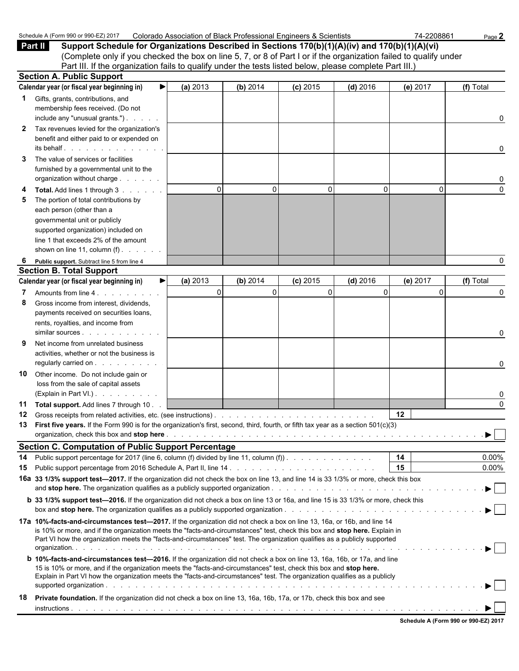|    | Schedule A (Form 990 or 990-EZ) 2017                                                                                                                                                                                                                                                                                                                                               |          | Colorado Association of Black Professional Engineers & Scientists |            |            | 74-2208861 | Page 2                         |
|----|------------------------------------------------------------------------------------------------------------------------------------------------------------------------------------------------------------------------------------------------------------------------------------------------------------------------------------------------------------------------------------|----------|-------------------------------------------------------------------|------------|------------|------------|--------------------------------|
|    | Part II<br>Support Schedule for Organizations Described in Sections 170(b)(1)(A)(iv) and 170(b)(1)(A)(vi)                                                                                                                                                                                                                                                                          |          |                                                                   |            |            |            |                                |
|    | (Complete only if you checked the box on line 5, 7, or 8 of Part I or if the organization failed to qualify under                                                                                                                                                                                                                                                                  |          |                                                                   |            |            |            |                                |
|    | Part III. If the organization fails to qualify under the tests listed below, please complete Part III.)                                                                                                                                                                                                                                                                            |          |                                                                   |            |            |            |                                |
|    | <b>Section A. Public Support</b>                                                                                                                                                                                                                                                                                                                                                   |          |                                                                   |            |            |            |                                |
|    | Calendar year (or fiscal year beginning in)                                                                                                                                                                                                                                                                                                                                        | (a) 2013 | (b) 2014                                                          | $(c)$ 2015 | $(d)$ 2016 | (e) 2017   | (f) Total                      |
| 1  | Gifts, grants, contributions, and<br>membership fees received. (Do not                                                                                                                                                                                                                                                                                                             |          |                                                                   |            |            |            |                                |
|    | include any "unusual grants.")                                                                                                                                                                                                                                                                                                                                                     |          |                                                                   |            |            |            | 0                              |
| 2  | Tax revenues levied for the organization's<br>benefit and either paid to or expended on<br>its behalf entitled and the set of the set of the set of the set of the set of the set of the set of the set of the set of the set of the set of the set of the set of the set of the set of the set of the set of the set of                                                           |          |                                                                   |            |            |            | 0                              |
| 3  | The value of services or facilities<br>furnished by a governmental unit to the<br>organization without charge                                                                                                                                                                                                                                                                      |          |                                                                   |            |            |            | 0                              |
|    | Total. Add lines 1 through 3                                                                                                                                                                                                                                                                                                                                                       | $\Omega$ | $\Omega$                                                          | $\Omega$   | $\Omega$   | $\Omega$   | $\Omega$                       |
| 5  | The portion of total contributions by<br>each person (other than a<br>governmental unit or publicly<br>supported organization) included on<br>line 1 that exceeds 2% of the amount<br>shown on line 11, column $(f)$ .                                                                                                                                                             |          |                                                                   |            |            |            |                                |
| 6  | Public support. Subtract line 5 from line 4                                                                                                                                                                                                                                                                                                                                        |          |                                                                   |            |            |            | 0                              |
|    | <b>Section B. Total Support</b>                                                                                                                                                                                                                                                                                                                                                    |          |                                                                   |            |            |            |                                |
|    | Calendar year (or fiscal year beginning in)                                                                                                                                                                                                                                                                                                                                        | (a) 2013 | (b) 2014                                                          | $(c)$ 2015 | $(d)$ 2016 | (e) 2017   | (f) Total                      |
| 7  | Amounts from line 4                                                                                                                                                                                                                                                                                                                                                                | $\Omega$ | $\Omega$                                                          | $\Omega$   | 0          | $\Omega$   | 0                              |
| 8  | Gross income from interest, dividends,<br>payments received on securities loans,<br>rents, royalties, and income from                                                                                                                                                                                                                                                              |          |                                                                   |            |            |            | 0                              |
|    | Net income from unrelated business<br>activities, whether or not the business is                                                                                                                                                                                                                                                                                                   |          |                                                                   |            |            |            | 0                              |
| 10 | Other income. Do not include gain or<br>loss from the sale of capital assets<br>(Explain in Part VI.)                                                                                                                                                                                                                                                                              |          |                                                                   |            |            |            | 0                              |
|    | 11 Total support. Add lines 7 through 10                                                                                                                                                                                                                                                                                                                                           |          |                                                                   |            |            |            | $\Omega$                       |
| 12 |                                                                                                                                                                                                                                                                                                                                                                                    |          |                                                                   |            |            | 12         |                                |
| 13 | First five years. If the Form 990 is for the organization's first, second, third, fourth, or fifth tax year as a section 501(c)(3)                                                                                                                                                                                                                                                 |          |                                                                   |            |            |            |                                |
|    |                                                                                                                                                                                                                                                                                                                                                                                    |          |                                                                   |            |            |            | ▶                              |
|    | <b>Section C. Computation of Public Support Percentage</b>                                                                                                                                                                                                                                                                                                                         |          |                                                                   |            |            |            |                                |
| 14 | Public support percentage for 2017 (line 6, column (f) divided by line 11, column (f)).                                                                                                                                                                                                                                                                                            |          |                                                                   |            |            | 14         | $0.00\%$                       |
| 15 |                                                                                                                                                                                                                                                                                                                                                                                    |          |                                                                   |            |            | 15         | $0.00\%$                       |
|    | 16a 33 1/3% support test-2017. If the organization did not check the box on line 13, and line 14 is 33 1/3% or more, check this box                                                                                                                                                                                                                                                |          |                                                                   |            |            |            | ▶ ।                            |
|    | b 33 1/3% support test-2016. If the organization did not check a box on line 13 or 16a, and line 15 is 33 1/3% or more, check this                                                                                                                                                                                                                                                 |          |                                                                   |            |            |            |                                |
|    | 17a 10%-facts-and-circumstances test-2017. If the organization did not check a box on line 13, 16a, or 16b, and line 14<br>is 10% or more, and if the organization meets the "facts-and-circumstances" test, check this box and stop here. Explain in<br>Part VI how the organization meets the "facts-and-circumstances" test. The organization qualifies as a publicly supported |          |                                                                   |            |            |            |                                |
|    | <b>b</b> 10%-facts-and-circumstances test-2016. If the organization did not check a box on line 13, 16a, 16b, or 17a, and line<br>15 is 10% or more, and if the organization meets the "facts-and-circumstances" test, check this box and stop here.<br>Explain in Part VI how the organization meets the "facts-and-circumstances" test. The organization qualifies as a publicly |          |                                                                   |            |            |            | $\blacktriangleright$ $\vdash$ |
| 18 | Private foundation. If the organization did not check a box on line 13, 16a, 16b, 17a, or 17b, check this box and see                                                                                                                                                                                                                                                              |          |                                                                   |            |            |            |                                |
|    |                                                                                                                                                                                                                                                                                                                                                                                    |          |                                                                   |            |            |            |                                |

| Schedule A (Form 990 or 990-EZ) 2017 |  |  |
|--------------------------------------|--|--|
|                                      |  |  |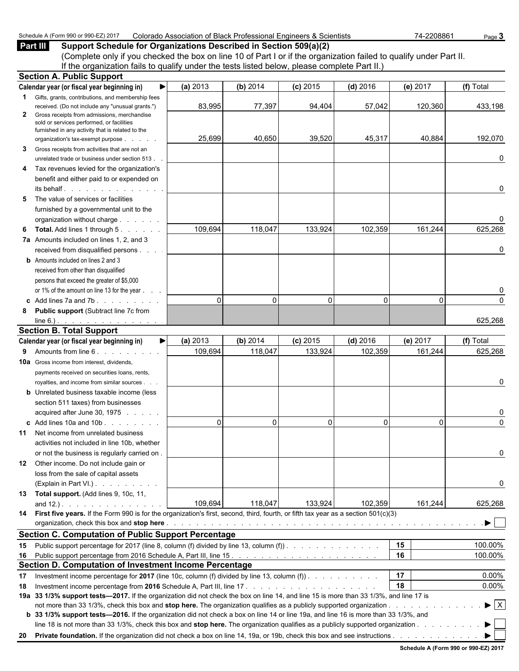| Schedule A (Form 990 or 990-EZ) 2017 | Colorado Association of Black Professional E | Engineers & Scientists | 2208861 | $P$ aqe $\bullet$ |
|--------------------------------------|----------------------------------------------|------------------------|---------|-------------------|
|--------------------------------------|----------------------------------------------|------------------------|---------|-------------------|

**Part III Support Schedule for Organizations Described in Section 509(a)(2)** (Complete only if you checked the box on line 10 of Part I or if the organization failed to qualify under Part II. If the organization fails to qualify under the tests listed below, please complete Part II.)

|    | <b>Section A. Public Support</b>                                                                                                                                                                                              |          |          |            |            |          |                                |
|----|-------------------------------------------------------------------------------------------------------------------------------------------------------------------------------------------------------------------------------|----------|----------|------------|------------|----------|--------------------------------|
|    | Calendar year (or fiscal year beginning in)                                                                                                                                                                                   | (a) 2013 | (b) 2014 | $(c)$ 2015 | $(d)$ 2016 | (e) 2017 | (f) Total                      |
|    | <b>1</b> Gifts, grants, contributions, and membership fees                                                                                                                                                                    |          |          |            |            |          |                                |
|    | received. (Do not include any "unusual grants.")                                                                                                                                                                              | 83,995   | 77,397   | 94,404     | 57,042     | 120,360  | 433,198                        |
| 2  | Gross receipts from admissions, merchandise<br>sold or services performed, or facilities                                                                                                                                      |          |          |            |            |          |                                |
|    | furnished in any activity that is related to the                                                                                                                                                                              |          |          |            |            |          |                                |
|    | organization's tax-exempt purpose                                                                                                                                                                                             | 25,699   | 40,650   | 39,520     | 45,317     | 40,884   | 192,070                        |
| 3  | Gross receipts from activities that are not an                                                                                                                                                                                |          |          |            |            |          |                                |
|    | unrelated trade or business under section 513.                                                                                                                                                                                |          |          |            |            |          | 0                              |
| 4  | Tax revenues levied for the organization's                                                                                                                                                                                    |          |          |            |            |          |                                |
|    | benefit and either paid to or expended on                                                                                                                                                                                     |          |          |            |            |          |                                |
|    | its behalf.                                                                                                                                                                                                                   |          |          |            |            |          | 0                              |
| 5  | The value of services or facilities                                                                                                                                                                                           |          |          |            |            |          |                                |
|    | furnished by a governmental unit to the                                                                                                                                                                                       |          |          |            |            |          |                                |
|    | organization without charge                                                                                                                                                                                                   |          |          |            |            |          | 0                              |
| 6  | <b>Total.</b> Add lines 1 through 5.                                                                                                                                                                                          | 109,694  | 118,047  | 133,924    | 102,359    | 161,244  | 625,268                        |
|    | 7a Amounts included on lines 1, 2, and 3                                                                                                                                                                                      |          |          |            |            |          |                                |
|    | received from disqualified persons                                                                                                                                                                                            |          |          |            |            |          | 0                              |
|    | <b>b</b> Amounts included on lines 2 and 3                                                                                                                                                                                    |          |          |            |            |          |                                |
|    | received from other than disqualified                                                                                                                                                                                         |          |          |            |            |          |                                |
|    | persons that exceed the greater of \$5,000                                                                                                                                                                                    |          |          |            |            |          |                                |
|    | or 1% of the amount on line 13 for the year                                                                                                                                                                                   |          |          |            |            |          | 0                              |
|    | c Add lines 7a and 7b. $\ldots$                                                                                                                                                                                               | $\Omega$ | $\Omega$ | $\Omega$   | $\Omega$   | 0        | 0                              |
| 8  | <b>Public support</b> (Subtract line 7c from                                                                                                                                                                                  |          |          |            |            |          |                                |
|    | $line 6$ .).                                                                                                                                                                                                                  |          |          |            |            |          | 625,268                        |
|    | <b>Section B. Total Support</b>                                                                                                                                                                                               |          |          |            |            |          |                                |
|    | Calendar year (or fiscal year beginning in)<br>▶                                                                                                                                                                              | (a) 2013 | (b) 2014 | $(c)$ 2015 | $(d)$ 2016 | (e) 2017 | (f) Total                      |
|    | 9 Amounts from line 6.                                                                                                                                                                                                        | 109,694  | 118,047  | 133,924    | 102,359    | 161,244  | 625,268                        |
|    | <b>10a</b> Gross income from interest, dividends,                                                                                                                                                                             |          |          |            |            |          |                                |
|    | payments received on securities loans, rents,                                                                                                                                                                                 |          |          |            |            |          |                                |
|    | royalties, and income from similar sources.                                                                                                                                                                                   |          |          |            |            |          | 0                              |
|    | <b>b</b> Unrelated business taxable income (less                                                                                                                                                                              |          |          |            |            |          |                                |
|    | section 511 taxes) from businesses                                                                                                                                                                                            |          |          |            |            |          |                                |
|    | acquired after June 30, 1975                                                                                                                                                                                                  |          |          |            |            |          | 0                              |
|    | c Add lines $10a$ and $10b$ . $\ldots$ $\ldots$                                                                                                                                                                               | $\Omega$ | $\Omega$ | $\Omega$   | $\Omega$   | 0        | 0                              |
|    | 11 Net income from unrelated business                                                                                                                                                                                         |          |          |            |            |          |                                |
|    | activities not included in line 10b, whether                                                                                                                                                                                  |          |          |            |            |          |                                |
|    | or not the business is regularly carried on.                                                                                                                                                                                  |          |          |            |            |          |                                |
|    | 12 Other income. Do not include gain or                                                                                                                                                                                       |          |          |            |            |          |                                |
|    | loss from the sale of capital assets                                                                                                                                                                                          |          |          |            |            |          |                                |
|    | (Explain in Part VI.).                                                                                                                                                                                                        |          |          |            |            |          | 0                              |
|    | 13 Total support. (Add lines 9, 10c, 11,                                                                                                                                                                                      |          |          |            |            |          |                                |
|    |                                                                                                                                                                                                                               | 109,694  | 118,047  | 133,924    | 102,359    | 161,244  | 625,268                        |
|    | 14 First five years. If the Form 990 is for the organization's first, second, third, fourth, or fifth tax year as a section 501(c)(3)                                                                                         |          |          |            |            |          |                                |
|    | organization, check this box and stop here enterpresent and the content of the content of the content of the content of the content of the content of the content of the content of the content of the content of the content |          |          |            |            |          | $\blacktriangleright$ 1        |
|    | <b>Section C. Computation of Public Support Percentage</b>                                                                                                                                                                    |          |          |            |            |          |                                |
|    | 15 Public support percentage for 2017 (line 8, column (f) divided by line 13, column (f)).                                                                                                                                    |          |          |            |            | 15       | 100.00%                        |
|    |                                                                                                                                                                                                                               |          |          |            |            | 16       | 100.00%                        |
|    | Section D. Computation of Investment Income Percentage                                                                                                                                                                        |          |          |            |            |          |                                |
| 17 | Investment income percentage for 2017 (line 10c, column (f) divided by line 13, column (f) $\ldots$                                                                                                                           |          |          |            |            | 17       | $0.00\%$                       |
| 18 |                                                                                                                                                                                                                               |          |          |            |            | 18       | $0.00\%$                       |
|    | 19a 33 1/3% support tests-2017. If the organization did not check the box on line 14, and line 15 is more than 33 1/3%, and line 17 is                                                                                        |          |          |            |            |          | $\blacktriangleright$ $\mid$ X |
|    | b 33 1/3% support tests—2016. If the organization did not check a box on line 14 or line 19a, and line 16 is more than 33 1/3%, and                                                                                           |          |          |            |            |          |                                |
|    | line 18 is not more than 33 1/3%, check this box and stop here. The organization qualifies as a publicly supported organization                                                                                               |          |          |            |            |          |                                |
|    |                                                                                                                                                                                                                               |          |          |            |            |          |                                |
|    |                                                                                                                                                                                                                               |          |          |            |            |          |                                |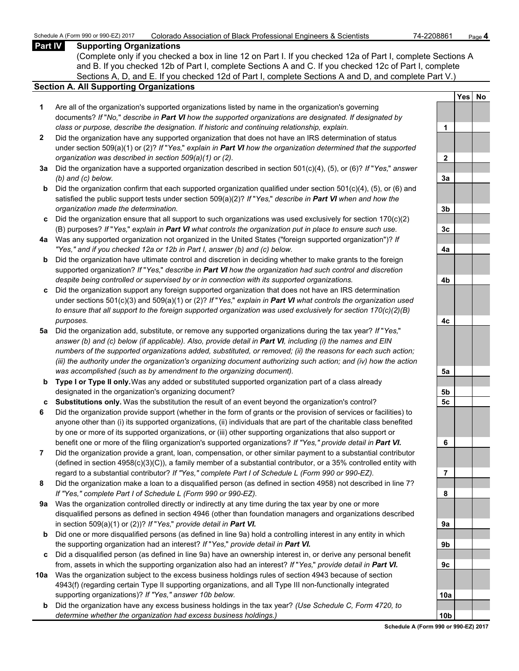#### **Part IV Supporting Organizations**

(Complete only if you checked a box in line 12 on Part I. If you checked 12a of Part I, complete Sections A and B. If you checked 12b of Part I, complete Sections A and C. If you checked 12c of Part I, complete Sections A, D, and E. If you checked 12d of Part I, complete Sections A and D, and complete Part V.)

#### **Section A. All Supporting Organizations**

- **1** Are all of the organization's supported organizations listed by name in the organization's governing documents? *If* "*No,*" *describe in Part VI how the supported organizations are designated. If designated by class or purpose, describe the designation. If historic and continuing relationship, explain.* **1**
- **2** Did the organization have any supported organization that does not have an IRS determination of status under section 509(a)(1) or (2)? *If* "*Yes,*" *explain in Part VI how the organization determined that the supported organization was described in section 509(a)(1) or (2).*
- **3a** Did the organization have a supported organization described in section 501(c)(4), (5), or (6)? *If* "*Yes,*" *answer (b) and (c) below.* **3a**
- **b** Did the organization confirm that each supported organization qualified under section 501(c)(4), (5), or (6) and satisfied the public support tests under section 509(a)(2)? *If* "*Yes,*" *describe in Part VI when and how the organization made the determination.* **3b**
- **c** Did the organization ensure that all support to such organizations was used exclusively for section 170(c)(2) (B) purposes? *If* "*Yes,*" *explain in Part VI what controls the organization put in place to ensure such use.* **3c**
- **4a** Was any supported organization not organized in the United States ("foreign supported organization")? *If "Yes," and if you checked 12a or 12b in Part I, answer (b) and (c) below.* **4a**
- **b** Did the organization have ultimate control and discretion in deciding whether to make grants to the foreign supported organization? *If* "*Yes,*" *describe in Part VI how the organization had such control and discretion despite being controlled or supervised by or in connection with its supported organizations.* **4b**
- **c** Did the organization support any foreign supported organization that does not have an IRS determination under sections 501(c)(3) and 509(a)(1) or (2)? *If* "*Yes,*" *explain in Part VI what controls the organization used to ensure that all support to the foreign supported organization was used exclusively for section 170(c)(2)(B) purposes.* **4c**
- **5a** Did the organization add, substitute, or remove any supported organizations during the tax year? *If* "*Yes,*" *answer (b) and (c) below (if applicable). Also, provide detail in Part VI, including (i) the names and EIN numbers of the supported organizations added, substituted, or removed; (ii) the reasons for each such action; (iii) the authority under the organization's organizing document authorizing such action; and (iv) how the action was accomplished (such as by amendment to the organizing document).* **5a**
- **b Type I or Type II only.** Was any added or substituted supported organization part of a class already designated in the organization's organizing document? **5b**
- **c Substitutions only.** Was the substitution the result of an event beyond the organization's control? **5c**
- **6** Did the organization provide support (whether in the form of grants or the provision of services or facilities) to anyone other than (i) its supported organizations, (ii) individuals that are part of the charitable class benefited by one or more of its supported organizations, or (iii) other supporting organizations that also support or benefit one or more of the filing organization's supported organizations? *If "Yes," provide detail in Part VI.* **6**
- **7** Did the organization provide a grant, loan, compensation, or other similar payment to a substantial contributor (defined in section 4958(c)(3)(C)), a family member of a substantial contributor, or a 35% controlled entity with regard to a substantial contributor? *If "Yes," complete Part I of Schedule L (Form 990 or 990-EZ).* **7**
- **8** Did the organization make a loan to a disqualified person (as defined in section 4958) not described in line 7? *If "Yes," complete Part I of Schedule L (Form 990 or 990-EZ).* **8**
- **9a** Was the organization controlled directly or indirectly at any time during the tax year by one or more disqualified persons as defined in section 4946 (other than foundation managers and organizations described in section 509(a)(1) or (2))? *If* "*Yes*," *provide detail in Part VI.*
- **b** Did one or more disqualified persons (as defined in line 9a) hold a controlling interest in any entity in which the supporting organization had an interest? *If* "*Yes,*" *provide detail in Part VI.* **9b**
- **c** Did a disqualified person (as defined in line 9a) have an ownership interest in, or derive any personal benefit from, assets in which the supporting organization also had an interest? *If* "*Yes,*" *provide detail in Part VI.* **9c**
- **10a** Was the organization subject to the excess business holdings rules of section 4943 because of section 4943(f) (regarding certain Type II supporting organizations, and all Type III non-functionally integrated supporting organizations)? If "Yes," answer 10b below.
	- **b** Did the organization have any excess business holdings in the tax year? *(Use Schedule C, Form 4720, to determine whether the organization had excess business holdings.)* **10b**

|                | <u>Yes</u> | <u>No</u> |
|----------------|------------|-----------|
|                |            |           |
| 1              |            |           |
|                |            |           |
| $\overline{2}$ |            |           |
|                |            |           |
| <u>3a</u>      |            |           |
|                |            |           |
| <u>3b</u>      |            |           |
| <u>3c</u>      |            |           |
|                |            |           |
| 4a             |            |           |
|                |            |           |
| 4 <sub>b</sub> |            |           |
|                |            |           |
| 4 <sub>c</sub> |            |           |
|                |            |           |
| <u>5a</u>      |            |           |
| <u>5b</u>      |            |           |
| <u>5c</u>      |            |           |
|                |            |           |
| 6              |            |           |
|                |            |           |
| 7              |            |           |
| 8              |            |           |
|                |            |           |
| ł<br>1         |            |           |
|                |            |           |
|                |            |           |
| и              |            |           |
|                |            |           |
| 0<br>ŀ<br>ì    |            |           |
|                |            |           |
| ı<br>n         |            |           |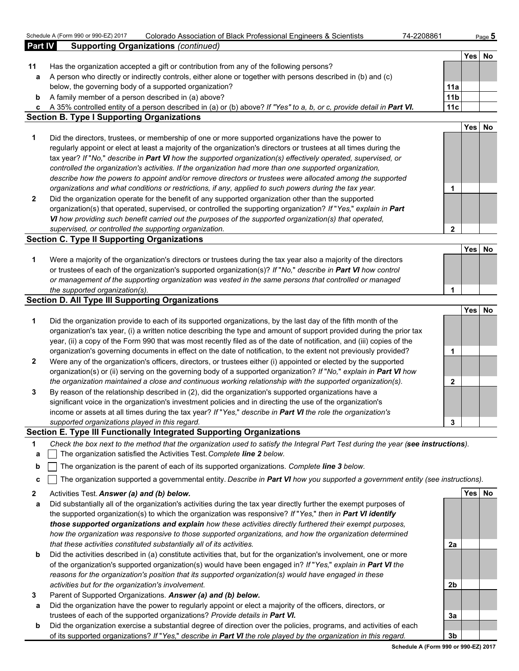|              | Schedule A (Form 990 or 990-EZ) 2017<br>Colorado Association of Black Professional Engineers & Scientists                                                                  | 74-2208861      |                  | Page 5    |
|--------------|----------------------------------------------------------------------------------------------------------------------------------------------------------------------------|-----------------|------------------|-----------|
| Part IV      | <b>Supporting Organizations (continued)</b>                                                                                                                                |                 |                  |           |
|              |                                                                                                                                                                            |                 | Yes <sup> </sup> | No        |
| 11           | Has the organization accepted a gift or contribution from any of the following persons?                                                                                    |                 |                  |           |
| a            | A person who directly or indirectly controls, either alone or together with persons described in (b) and (c)                                                               |                 |                  |           |
|              | below, the governing body of a supported organization?                                                                                                                     | 11a             |                  |           |
| b            | A family member of a person described in (a) above?                                                                                                                        | 11 <sub>b</sub> |                  |           |
| c            | A 35% controlled entity of a person described in (a) or (b) above? If "Yes" to a, b, or c, provide detail in Part VI.<br><b>Section B. Type I Supporting Organizations</b> | 11c             |                  |           |
|              |                                                                                                                                                                            |                 | Yes <sup> </sup> | <b>No</b> |
| 1            | Did the directors, trustees, or membership of one or more supported organizations have the power to                                                                        |                 |                  |           |
|              | regularly appoint or elect at least a majority of the organization's directors or trustees at all times during the                                                         |                 |                  |           |
|              | tax year? If "No," describe in Part VI how the supported organization(s) effectively operated, supervised, or                                                              |                 |                  |           |
|              | controlled the organization's activities. If the organization had more than one supported organization,                                                                    |                 |                  |           |
|              | describe how the powers to appoint and/or remove directors or trustees were allocated among the supported                                                                  |                 |                  |           |
|              | organizations and what conditions or restrictions, if any, applied to such powers during the tax year.                                                                     | 1               |                  |           |
| $\mathbf{2}$ | Did the organization operate for the benefit of any supported organization other than the supported                                                                        |                 |                  |           |
|              | organization(s) that operated, supervised, or controlled the supporting organization? If "Yes," explain in Part                                                            |                 |                  |           |
|              | VI how providing such benefit carried out the purposes of the supported organization(s) that operated,                                                                     |                 |                  |           |
|              | supervised, or controlled the supporting organization.                                                                                                                     | $\mathbf{2}$    |                  |           |
|              | <b>Section C. Type II Supporting Organizations</b>                                                                                                                         |                 |                  |           |
|              |                                                                                                                                                                            |                 | <b>Yes</b>       | No        |
| 1            | Were a majority of the organization's directors or trustees during the tax year also a majority of the directors                                                           |                 |                  |           |
|              | or trustees of each of the organization's supported organization(s)? If "No," describe in Part VI how control                                                              |                 |                  |           |
|              | or management of the supporting organization was vested in the same persons that controlled or managed                                                                     |                 |                  |           |
|              | the supported organization(s).                                                                                                                                             | 1               |                  |           |
|              | <b>Section D. All Type III Supporting Organizations</b>                                                                                                                    |                 | Yes              | No        |
| 1            | Did the organization provide to each of its supported organizations, by the last day of the fifth month of the                                                             |                 |                  |           |
|              | organization's tax year, (i) a written notice describing the type and amount of support provided during the prior tax                                                      |                 |                  |           |
|              | year, (ii) a copy of the Form 990 that was most recently filed as of the date of notification, and (iii) copies of the                                                     |                 |                  |           |
|              | organization's governing documents in effect on the date of notification, to the extent not previously provided?                                                           | 1               |                  |           |
| $\mathbf{2}$ | Were any of the organization's officers, directors, or trustees either (i) appointed or elected by the supported                                                           |                 |                  |           |
|              | organization(s) or (ii) serving on the governing body of a supported organization? If "No," explain in Part VI how                                                         |                 |                  |           |
|              | the organization maintained a close and continuous working relationship with the supported organization(s).                                                                | 2               |                  |           |
| 3            | By reason of the relationship described in (2), did the organization's supported organizations have a                                                                      |                 |                  |           |
|              | significant voice in the organization's investment policies and in directing the use of the organization's                                                                 |                 |                  |           |
|              | income or assets at all times during the tax year? If "Yes," describe in Part VI the role the organization's                                                               |                 |                  |           |
|              | supported organizations played in this regard.                                                                                                                             | 3               |                  |           |
|              | Section E. Type III Functionally Integrated Supporting Organizations                                                                                                       |                 |                  |           |
| 1            | Check the box next to the method that the organization used to satisfy the Integral Part Test during the year (see instructions).                                          |                 |                  |           |
| а            | The organization satisfied the Activities Test. Complete line 2 below.                                                                                                     |                 |                  |           |
| b            | The organization is the parent of each of its supported organizations. Complete line 3 below.                                                                              |                 |                  |           |
| с            | The organization supported a governmental entity. Describe in Part VI how you supported a government entity (see instructions).                                            |                 |                  |           |
| 2            | Activities Test. Answer (a) and (b) below.                                                                                                                                 |                 |                  | Yes No    |
| а            | Did substantially all of the organization's activities during the tax year directly further the exempt purposes of                                                         |                 |                  |           |
|              | the supported organization(s) to which the organization was responsive? If "Yes," then in Part VI identify                                                                 |                 |                  |           |
|              | those supported organizations and explain how these activities directly furthered their exempt purposes,                                                                   |                 |                  |           |
|              | how the organization was responsive to those supported organizations, and how the organization determined                                                                  |                 |                  |           |
|              | that these activities constituted substantially all of its activities.                                                                                                     | 2a              |                  |           |

- **b** Did the activities described in (a) constitute activities that, but for the organization's involvement, one or more of the organization's supported organization(s) would have been engaged in? *If* "*Yes,*" *explain in Part VI the reasons for the organization's position that its supported organization(s) would have engaged in these activities but for the organization's involvement.* **2b**
- **3** Parent of Supported Organizations. *Answer (a) and (b) below.*
- **a** Did the organization have the power to regularly appoint or elect a majority of the officers, directors, or trustees of each of the supported organizations? *Provide details in Part VI.* **3a**
- **b** Did the organization exercise a substantial degree of direction over the policies, programs, and activities of each of its supported organizations? *If* "*Yes,*" *describe in Part VI the role played by the organization in this regard.* **3b**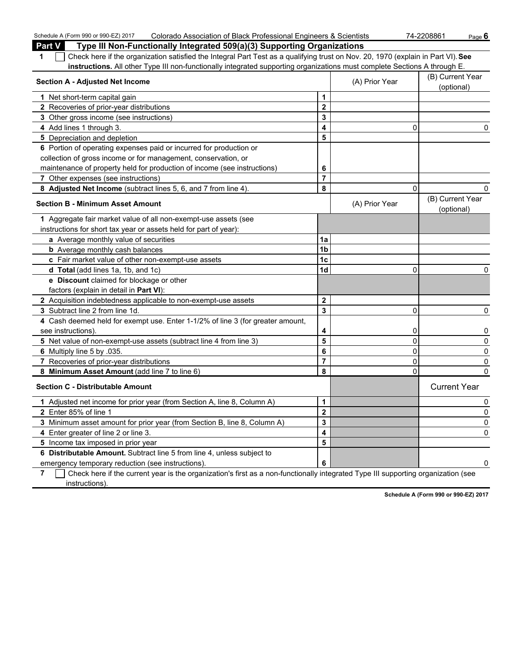| Schedule A (Form 990 or 990-EZ) 2017<br>Colorado Association of Black Professional Engineers & Scientists                                           |                         |                | 74-2208861<br>Page $6$         |
|-----------------------------------------------------------------------------------------------------------------------------------------------------|-------------------------|----------------|--------------------------------|
| Part V<br>Type III Non-Functionally Integrated 509(a)(3) Supporting Organizations                                                                   |                         |                |                                |
| Check here if the organization satisfied the Integral Part Test as a qualifying trust on Nov. 20, 1970 (explain in Part VI). See<br>1               |                         |                |                                |
| instructions. All other Type III non-functionally integrated supporting organizations must complete Sections A through E.                           |                         |                |                                |
| <b>Section A - Adjusted Net Income</b>                                                                                                              |                         | (A) Prior Year | (B) Current Year<br>(optional) |
| 1 Net short-term capital gain                                                                                                                       | 1                       |                |                                |
| 2 Recoveries of prior-year distributions                                                                                                            | $\overline{\mathbf{2}}$ |                |                                |
| 3 Other gross income (see instructions)                                                                                                             | 3                       |                |                                |
| 4 Add lines 1 through 3.                                                                                                                            | $\overline{\mathbf{4}}$ | 0              | 0                              |
| 5 Depreciation and depletion                                                                                                                        | 5                       |                |                                |
| 6 Portion of operating expenses paid or incurred for production or                                                                                  |                         |                |                                |
| collection of gross income or for management, conservation, or                                                                                      |                         |                |                                |
| maintenance of property held for production of income (see instructions)                                                                            | 6                       |                |                                |
| 7 Other expenses (see instructions)                                                                                                                 | $\overline{7}$          |                |                                |
| 8 Adjusted Net Income (subtract lines 5, 6, and 7 from line 4).                                                                                     | 8                       | 0              | <sup>0</sup>                   |
| <b>Section B - Minimum Asset Amount</b>                                                                                                             |                         | (A) Prior Year | (B) Current Year<br>(optional) |
| 1 Aggregate fair market value of all non-exempt-use assets (see                                                                                     |                         |                |                                |
| instructions for short tax year or assets held for part of year):                                                                                   |                         |                |                                |
| a Average monthly value of securities                                                                                                               | 1a                      |                |                                |
| <b>b</b> Average monthly cash balances                                                                                                              | 1 <sub>b</sub>          |                |                                |
| c Fair market value of other non-exempt-use assets                                                                                                  | 1 <sub>c</sub>          |                |                                |
| d Total (add lines 1a, 1b, and 1c)                                                                                                                  | 1 <sub>d</sub>          | 0              | 0                              |
| e Discount claimed for blockage or other                                                                                                            |                         |                |                                |
| factors (explain in detail in Part VI):                                                                                                             |                         |                |                                |
| 2 Acquisition indebtedness applicable to non-exempt-use assets                                                                                      | $\overline{\mathbf{2}}$ |                |                                |
| 3 Subtract line 2 from line 1d.                                                                                                                     | $\overline{\mathbf{3}}$ | 0              | 0                              |
| 4 Cash deemed held for exempt use. Enter 1-1/2% of line 3 (for greater amount,                                                                      |                         |                |                                |
| see instructions).                                                                                                                                  | 4                       | 0              | 0                              |
| 5 Net value of non-exempt-use assets (subtract line 4 from line 3)                                                                                  | 5                       | 0              | 0                              |
| 6 Multiply line 5 by .035.                                                                                                                          | 6                       | 0              | 0                              |
| 7 Recoveries of prior-year distributions                                                                                                            | $\overline{7}$          | 0              | 0                              |
| 8 Minimum Asset Amount (add line 7 to line 6)                                                                                                       | 8                       | 0              | 0                              |
| <b>Section C - Distributable Amount</b>                                                                                                             |                         |                | <b>Current Year</b>            |
| 1 Adjusted net income for prior year (from Section A, line 8, Column A)                                                                             | 1                       |                | 0                              |
| 2 Enter 85% of line 1                                                                                                                               | $\overline{\mathbf{2}}$ |                | 0                              |
| 3 Minimum asset amount for prior year (from Section B, line 8, Column A)                                                                            | 3                       |                | 0                              |
| 4 Enter greater of line 2 or line 3.                                                                                                                | 4                       |                | 0                              |
| 5 Income tax imposed in prior year                                                                                                                  | 5                       |                |                                |
| 6 Distributable Amount. Subtract line 5 from line 4, unless subject to                                                                              |                         |                |                                |
| emergency temporary reduction (see instructions).                                                                                                   | 6                       |                | $\overline{0}$                 |
| Check here if the current year is the organization's first as a non-functionally integrated Type III supporting organization (see<br>$\overline{7}$ |                         |                |                                |

instructions).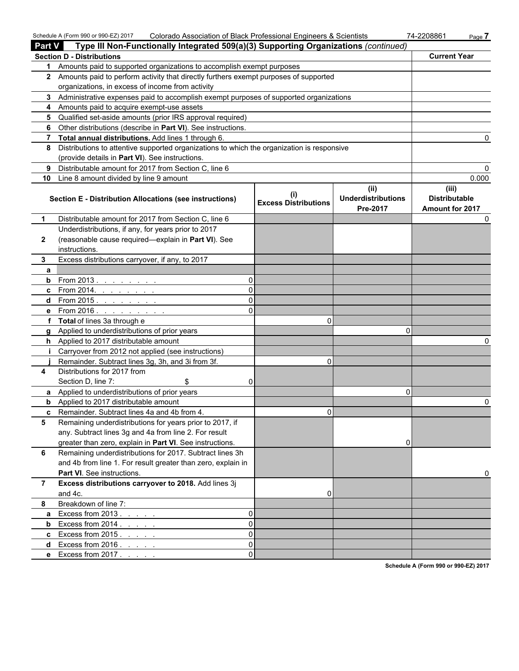|               | Schedule A (Form 990 or 990-EZ) 2017<br>Colorado Association of Black Professional Engineers & Scientists |                             |                                               | 74-2208861<br>Page 7                                    |  |
|---------------|-----------------------------------------------------------------------------------------------------------|-----------------------------|-----------------------------------------------|---------------------------------------------------------|--|
| <b>Part V</b> | Type III Non-Functionally Integrated 509(a)(3) Supporting Organizations (continued)                       |                             |                                               |                                                         |  |
|               | <b>Section D - Distributions</b>                                                                          |                             |                                               | <b>Current Year</b>                                     |  |
|               | Amounts paid to supported organizations to accomplish exempt purposes                                     |                             |                                               |                                                         |  |
|               | 2 Amounts paid to perform activity that directly furthers exempt purposes of supported                    |                             |                                               |                                                         |  |
|               | organizations, in excess of income from activity                                                          |                             |                                               |                                                         |  |
|               | 3 Administrative expenses paid to accomplish exempt purposes of supported organizations                   |                             |                                               |                                                         |  |
|               | 4 Amounts paid to acquire exempt-use assets                                                               |                             |                                               |                                                         |  |
| 5             | Qualified set-aside amounts (prior IRS approval required)                                                 |                             |                                               |                                                         |  |
| 6             | Other distributions (describe in Part VI). See instructions.                                              |                             |                                               |                                                         |  |
| 7             | Total annual distributions. Add lines 1 through 6.                                                        |                             |                                               |                                                         |  |
| 8             | Distributions to attentive supported organizations to which the organization is responsive                |                             |                                               |                                                         |  |
|               | (provide details in Part VI). See instructions.                                                           |                             |                                               |                                                         |  |
| 9             | Distributable amount for 2017 from Section C, line 6                                                      |                             |                                               |                                                         |  |
| 10            | Line 8 amount divided by line 9 amount                                                                    |                             |                                               | 0.000                                                   |  |
|               | <b>Section E - Distribution Allocations (see instructions)</b>                                            | <b>Excess Distributions</b> | (ii)<br><b>Underdistributions</b><br>Pre-2017 | (iii)<br><b>Distributable</b><br><b>Amount for 2017</b> |  |
|               | Distributable amount for 2017 from Section C, line 6                                                      |                             |                                               |                                                         |  |
|               | Underdistributions, if any, for years prior to 2017                                                       |                             |                                               |                                                         |  |
| $\mathbf{2}$  | (reasonable cause required-explain in Part VI). See                                                       |                             |                                               |                                                         |  |
|               | instructions.                                                                                             |                             |                                               |                                                         |  |
| 3.            | Excess distributions carryover, if any, to 2017                                                           |                             |                                               |                                                         |  |
| a             |                                                                                                           |                             |                                               |                                                         |  |
| b             | From 2013 $\ldots$ $\ldots$ $\ldots$<br>$\Omega$                                                          |                             |                                               |                                                         |  |
| c             | From 2014. $\ldots$<br>ΩI                                                                                 |                             |                                               |                                                         |  |
| d             | From 2015. $\ldots$<br>$\Omega$                                                                           |                             |                                               |                                                         |  |
|               | e From 2016.<br>$\Omega$                                                                                  |                             |                                               |                                                         |  |
|               | f Total of lines 3a through e                                                                             | $\Omega$                    |                                               |                                                         |  |
| a             | Applied to underdistributions of prior years                                                              |                             | $\Omega$                                      |                                                         |  |
| h.            | Applied to 2017 distributable amount                                                                      |                             |                                               |                                                         |  |
|               | Carryover from 2012 not applied (see instructions)                                                        |                             |                                               |                                                         |  |
|               | Remainder. Subtract lines 3g, 3h, and 3i from 3f.                                                         | $\Omega$                    |                                               |                                                         |  |
| 4             | Distributions for 2017 from                                                                               |                             |                                               |                                                         |  |
|               | Section D, line 7:<br>ΩI                                                                                  |                             |                                               |                                                         |  |
|               | a Applied to underdistributions of prior years                                                            |                             | $\Omega$                                      |                                                         |  |
|               | <b>b</b> Applied to 2017 distributable amount                                                             |                             |                                               | 0                                                       |  |
|               | Remainder. Subtract lines 4a and 4b from 4.                                                               |                             |                                               |                                                         |  |
| 5             | Remaining underdistributions for years prior to 2017, if                                                  |                             |                                               |                                                         |  |
|               | any. Subtract lines 3g and 4a from line 2. For result                                                     |                             |                                               |                                                         |  |
|               | greater than zero, explain in Part VI. See instructions.                                                  |                             |                                               |                                                         |  |
| 6             | Remaining underdistributions for 2017. Subtract lines 3h                                                  |                             |                                               |                                                         |  |
|               | and 4b from line 1. For result greater than zero, explain in                                              |                             |                                               |                                                         |  |
|               | <b>Part VI.</b> See instructions.                                                                         |                             |                                               |                                                         |  |
| 7             | Excess distributions carryover to 2018. Add lines 3j                                                      |                             |                                               |                                                         |  |
|               | and 4c.                                                                                                   | 0                           |                                               |                                                         |  |
| 8             | Breakdown of line 7:                                                                                      |                             |                                               |                                                         |  |
| а             | $\Omega$<br>Excess from $2013$ .                                                                          |                             |                                               |                                                         |  |
| b             | Excess from 2014.<br>$\Omega$                                                                             |                             |                                               |                                                         |  |
| c             | $\Omega$<br>Excess from 2015.                                                                             |                             |                                               |                                                         |  |
| d             | Excess from 2016.<br>$\Omega$                                                                             |                             |                                               |                                                         |  |
|               | ΩI<br>e Excess from 2017.                                                                                 |                             |                                               |                                                         |  |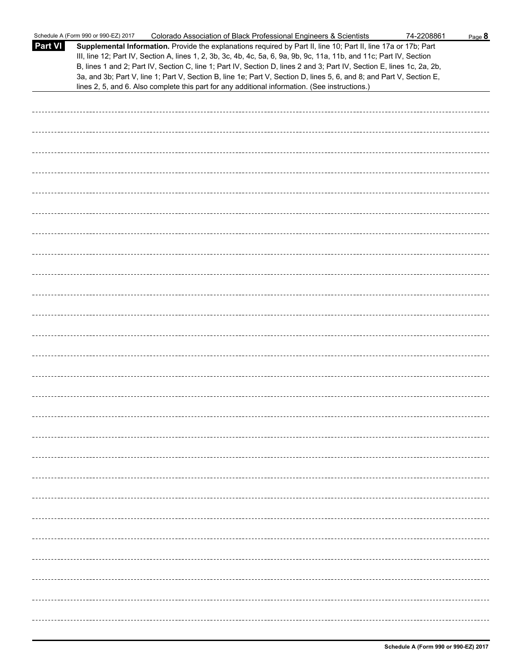|                | Schedule A (Form 990 or 990-EZ) 2017<br>Colorado Association of Black Professional Engineers & Scientists                                                                                                                                                                                                                                                                                                                                                                                                                                                                                   | 74-2208861 | Page 8 |
|----------------|---------------------------------------------------------------------------------------------------------------------------------------------------------------------------------------------------------------------------------------------------------------------------------------------------------------------------------------------------------------------------------------------------------------------------------------------------------------------------------------------------------------------------------------------------------------------------------------------|------------|--------|
| <b>Part VI</b> | Supplemental Information. Provide the explanations required by Part II, line 10; Part II, line 17a or 17b; Part<br>III, line 12; Part IV, Section A, lines 1, 2, 3b, 3c, 4b, 4c, 5a, 6, 9a, 9b, 9c, 11a, 11b, and 11c; Part IV, Section<br>B, lines 1 and 2; Part IV, Section C, line 1; Part IV, Section D, lines 2 and 3; Part IV, Section E, lines 1c, 2a, 2b,<br>3a, and 3b; Part V, line 1; Part V, Section B, line 1e; Part V, Section D, lines 5, 6, and 8; and Part V, Section E,<br>lines 2, 5, and 6. Also complete this part for any additional information. (See instructions.) |            |        |
|                |                                                                                                                                                                                                                                                                                                                                                                                                                                                                                                                                                                                             |            |        |
|                |                                                                                                                                                                                                                                                                                                                                                                                                                                                                                                                                                                                             |            |        |
|                |                                                                                                                                                                                                                                                                                                                                                                                                                                                                                                                                                                                             |            |        |
|                |                                                                                                                                                                                                                                                                                                                                                                                                                                                                                                                                                                                             |            |        |
|                |                                                                                                                                                                                                                                                                                                                                                                                                                                                                                                                                                                                             |            |        |
|                |                                                                                                                                                                                                                                                                                                                                                                                                                                                                                                                                                                                             |            |        |
|                |                                                                                                                                                                                                                                                                                                                                                                                                                                                                                                                                                                                             |            |        |
|                |                                                                                                                                                                                                                                                                                                                                                                                                                                                                                                                                                                                             |            |        |
|                |                                                                                                                                                                                                                                                                                                                                                                                                                                                                                                                                                                                             |            |        |
|                |                                                                                                                                                                                                                                                                                                                                                                                                                                                                                                                                                                                             |            |        |
|                |                                                                                                                                                                                                                                                                                                                                                                                                                                                                                                                                                                                             |            |        |
|                |                                                                                                                                                                                                                                                                                                                                                                                                                                                                                                                                                                                             |            |        |
|                |                                                                                                                                                                                                                                                                                                                                                                                                                                                                                                                                                                                             |            |        |
|                |                                                                                                                                                                                                                                                                                                                                                                                                                                                                                                                                                                                             |            |        |
|                |                                                                                                                                                                                                                                                                                                                                                                                                                                                                                                                                                                                             |            |        |
|                |                                                                                                                                                                                                                                                                                                                                                                                                                                                                                                                                                                                             |            |        |
|                |                                                                                                                                                                                                                                                                                                                                                                                                                                                                                                                                                                                             |            |        |
|                |                                                                                                                                                                                                                                                                                                                                                                                                                                                                                                                                                                                             |            |        |
|                |                                                                                                                                                                                                                                                                                                                                                                                                                                                                                                                                                                                             |            |        |
|                |                                                                                                                                                                                                                                                                                                                                                                                                                                                                                                                                                                                             |            |        |
|                |                                                                                                                                                                                                                                                                                                                                                                                                                                                                                                                                                                                             |            |        |
|                |                                                                                                                                                                                                                                                                                                                                                                                                                                                                                                                                                                                             |            |        |
|                |                                                                                                                                                                                                                                                                                                                                                                                                                                                                                                                                                                                             |            |        |
|                |                                                                                                                                                                                                                                                                                                                                                                                                                                                                                                                                                                                             |            |        |
|                |                                                                                                                                                                                                                                                                                                                                                                                                                                                                                                                                                                                             |            |        |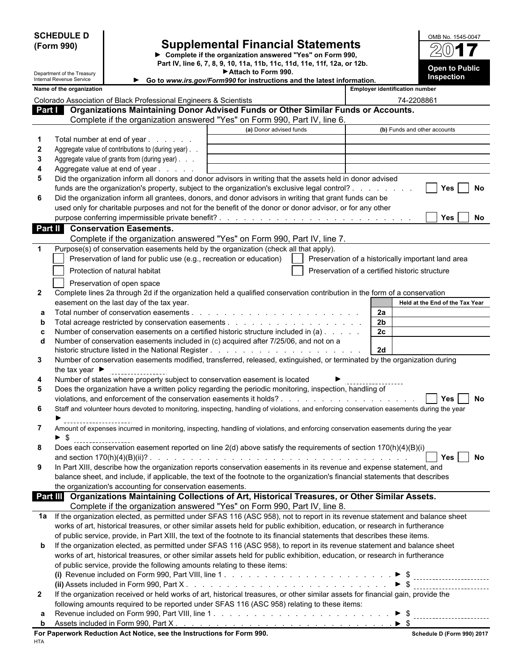|              | <b>SCHEDULE D</b>                                      |                                                                                                                                                        |                                                                          |                                                |                                       |  | OMB No. 1545-0047                                  |
|--------------|--------------------------------------------------------|--------------------------------------------------------------------------------------------------------------------------------------------------------|--------------------------------------------------------------------------|------------------------------------------------|---------------------------------------|--|----------------------------------------------------|
| (Form 990)   |                                                        |                                                                                                                                                        | <b>Supplemental Financial Statements</b>                                 |                                                |                                       |  |                                                    |
|              |                                                        |                                                                                                                                                        | Complete if the organization answered "Yes" on Form 990,                 |                                                |                                       |  |                                                    |
|              |                                                        |                                                                                                                                                        | Part IV, line 6, 7, 8, 9, 10, 11a, 11b, 11c, 11d, 11e, 11f, 12a, or 12b. |                                                |                                       |  | <b>Open to Public</b>                              |
|              | Department of the Treasury<br>Internal Revenue Service |                                                                                                                                                        | Attach to Form 990.                                                      |                                                |                                       |  | Inspection                                         |
|              | Name of the organization                               | ▶                                                                                                                                                      | Go to www.irs.gov/Form990 for instructions and the latest information.   |                                                | <b>Employer identification number</b> |  |                                                    |
|              |                                                        |                                                                                                                                                        |                                                                          |                                                |                                       |  |                                                    |
| Part I       |                                                        | Colorado Association of Black Professional Engineers & Scientists<br>Organizations Maintaining Donor Advised Funds or Other Similar Funds or Accounts. |                                                                          |                                                |                                       |  | 74-2208861                                         |
|              |                                                        | Complete if the organization answered "Yes" on Form 990, Part IV, line 6.                                                                              |                                                                          |                                                |                                       |  |                                                    |
|              |                                                        |                                                                                                                                                        | (a) Donor advised funds                                                  |                                                |                                       |  | (b) Funds and other accounts                       |
|              |                                                        | Total number at end of year                                                                                                                            |                                                                          |                                                |                                       |  |                                                    |
| $\mathbf{2}$ |                                                        | Aggregate value of contributions to (during year).                                                                                                     |                                                                          |                                                |                                       |  |                                                    |
| 3            |                                                        | Aggregate value of grants from (during year)                                                                                                           |                                                                          |                                                |                                       |  |                                                    |
| 4            |                                                        | Aggregate value at end of year                                                                                                                         |                                                                          |                                                |                                       |  |                                                    |
| 5            |                                                        | Did the organization inform all donors and donor advisors in writing that the assets held in donor advised                                             |                                                                          |                                                |                                       |  |                                                    |
|              |                                                        | funds are the organization's property, subject to the organization's exclusive legal control?                                                          |                                                                          |                                                |                                       |  | Yes<br>No                                          |
| 6            |                                                        | Did the organization inform all grantees, donors, and donor advisors in writing that grant funds can be                                                |                                                                          |                                                |                                       |  |                                                    |
|              |                                                        | used only for charitable purposes and not for the benefit of the donor or donor advisor, or for any other                                              |                                                                          |                                                |                                       |  |                                                    |
|              |                                                        |                                                                                                                                                        |                                                                          |                                                |                                       |  | No<br>Yes                                          |
|              |                                                        | <b>Part II</b> Conservation Easements.                                                                                                                 |                                                                          |                                                |                                       |  |                                                    |
|              |                                                        | Complete if the organization answered "Yes" on Form 990, Part IV, line 7.                                                                              |                                                                          |                                                |                                       |  |                                                    |
| $\mathbf 1$  |                                                        | Purpose(s) of conservation easements held by the organization (check all that apply).                                                                  |                                                                          |                                                |                                       |  |                                                    |
|              |                                                        | Preservation of land for public use (e.g., recreation or education)                                                                                    |                                                                          |                                                |                                       |  | Preservation of a historically important land area |
|              |                                                        | Protection of natural habitat                                                                                                                          |                                                                          | Preservation of a certified historic structure |                                       |  |                                                    |
|              |                                                        | Preservation of open space                                                                                                                             |                                                                          |                                                |                                       |  |                                                    |
| $\mathbf{2}$ |                                                        | Complete lines 2a through 2d if the organization held a qualified conservation contribution in the form of a conservation                              |                                                                          |                                                |                                       |  |                                                    |
|              |                                                        | easement on the last day of the tax year.                                                                                                              |                                                                          |                                                |                                       |  | Held at the End of the Tax Year                    |
|              |                                                        |                                                                                                                                                        |                                                                          |                                                | 2a                                    |  |                                                    |
| b            |                                                        |                                                                                                                                                        |                                                                          |                                                | 2 <sub>b</sub>                        |  |                                                    |
|              |                                                        | Number of conservation easements on a certified historic structure included in (a)                                                                     |                                                                          |                                                | 2 <sub>c</sub>                        |  |                                                    |
| d            |                                                        | Number of conservation easements included in (c) acquired after 7/25/06, and not on a                                                                  |                                                                          |                                                |                                       |  |                                                    |
|              |                                                        |                                                                                                                                                        |                                                                          |                                                | <b>2d</b>                             |  |                                                    |
| 3            |                                                        | Number of conservation easements modified, transferred, released, extinguished, or terminated by the organization during                               |                                                                          |                                                |                                       |  |                                                    |
|              | the tax year $\blacktriangleright$                     |                                                                                                                                                        |                                                                          |                                                |                                       |  |                                                    |
| 4            |                                                        | Number of states where property subject to conservation easement is located                                                                            |                                                                          |                                                |                                       |  |                                                    |
| 5            |                                                        | Does the organization have a written policy regarding the periodic monitoring, inspection, handling of                                                 |                                                                          |                                                |                                       |  |                                                    |
|              |                                                        |                                                                                                                                                        |                                                                          |                                                |                                       |  | <b>Yes</b><br>No                                   |
| 6            |                                                        | Staff and volunteer hours devoted to monitoring, inspecting, handling of violations, and enforcing conservation easements during the year              |                                                                          |                                                |                                       |  |                                                    |
|              |                                                        |                                                                                                                                                        |                                                                          |                                                |                                       |  |                                                    |
| 7            |                                                        | Amount of expenses incurred in monitoring, inspecting, handling of violations, and enforcing conservation easements during the year                    |                                                                          |                                                |                                       |  |                                                    |
| 8            | $\blacktriangleright$ \$                               | Does each conservation easement reported on line 2(d) above satisfy the requirements of section 170(h)(4)(B)(i)                                        |                                                                          |                                                |                                       |  |                                                    |
|              |                                                        |                                                                                                                                                        |                                                                          |                                                |                                       |  | Yes  <br><b>No</b>                                 |
| 9            |                                                        | In Part XIII, describe how the organization reports conservation easements in its revenue and expense statement, and                                   |                                                                          |                                                |                                       |  |                                                    |
|              |                                                        | balance sheet, and include, if applicable, the text of the footnote to the organization's financial statements that describes                          |                                                                          |                                                |                                       |  |                                                    |
|              |                                                        | the organization's accounting for conservation easements.                                                                                              |                                                                          |                                                |                                       |  |                                                    |
|              |                                                        | Part III Organizations Maintaining Collections of Art, Historical Treasures, or Other Similar Assets.                                                  |                                                                          |                                                |                                       |  |                                                    |
|              |                                                        | Complete if the organization answered "Yes" on Form 990, Part IV, line 8.                                                                              |                                                                          |                                                |                                       |  |                                                    |
| 1a           |                                                        | If the organization elected, as permitted under SFAS 116 (ASC 958), not to report in its revenue statement and balance sheet                           |                                                                          |                                                |                                       |  |                                                    |
|              |                                                        | works of art, historical treasures, or other similar assets held for public exhibition, education, or research in furtherance                          |                                                                          |                                                |                                       |  |                                                    |
|              |                                                        | of public service, provide, in Part XIII, the text of the footnote to its financial statements that describes these items.                             |                                                                          |                                                |                                       |  |                                                    |
| b            |                                                        | If the organization elected, as permitted under SFAS 116 (ASC 958), to report in its revenue statement and balance sheet                               |                                                                          |                                                |                                       |  |                                                    |
|              |                                                        | works of art, historical treasures, or other similar assets held for public exhibition, education, or research in furtherance                          |                                                                          |                                                |                                       |  |                                                    |
|              |                                                        | of public service, provide the following amounts relating to these items:                                                                              |                                                                          |                                                |                                       |  |                                                    |
|              |                                                        | (i) Revenue included on Form 990, Part VIII, line $1 \ldots \ldots \ldots \ldots \ldots \ldots \ldots \ldots \ldots \ldots$                            |                                                                          |                                                |                                       |  |                                                    |
|              |                                                        |                                                                                                                                                        |                                                                          |                                                |                                       |  |                                                    |
| $\mathbf{2}$ |                                                        | If the organization received or held works of art, historical treasures, or other similar assets for financial gain, provide the                       |                                                                          |                                                |                                       |  |                                                    |
|              |                                                        | following amounts required to be reported under SFAS 116 (ASC 958) relating to these items:                                                            |                                                                          |                                                |                                       |  |                                                    |
| а            |                                                        |                                                                                                                                                        |                                                                          |                                                |                                       |  | ------------------------                           |
| b            |                                                        |                                                                                                                                                        |                                                                          |                                                |                                       |  |                                                    |
|              |                                                        | For Paperwork Reduction Act Notice, see the Instructions for Form 990.                                                                                 |                                                                          |                                                |                                       |  | Schedule D (Form 990) 2017                         |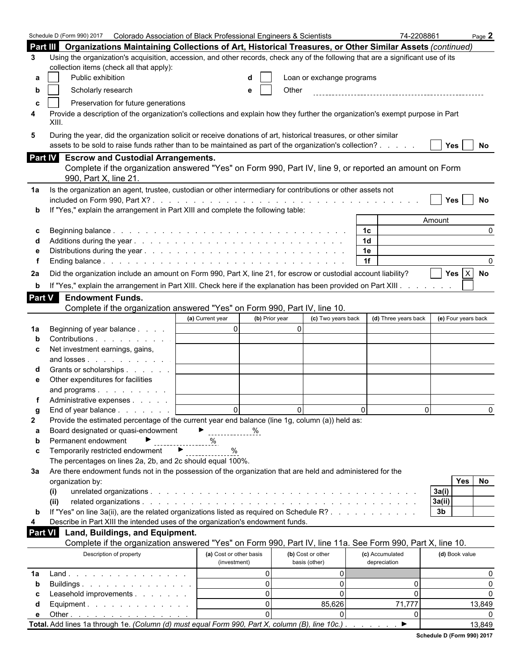|             | Schedule D (Form 990) 2017 Colorado Association of Black Professional Engineers & Scientists                                                                                                                                                |                                    |                           | 74-2208861           | Page 2              |  |  |  |
|-------------|---------------------------------------------------------------------------------------------------------------------------------------------------------------------------------------------------------------------------------------------|------------------------------------|---------------------------|----------------------|---------------------|--|--|--|
|             | Part III Organizations Maintaining Collections of Art, Historical Treasures, or Other Similar Assets (continued)                                                                                                                            |                                    |                           |                      |                     |  |  |  |
| 3           | Using the organization's acquisition, accession, and other records, check any of the following that are a significant use of its                                                                                                            |                                    |                           |                      |                     |  |  |  |
|             | collection items (check all that apply):                                                                                                                                                                                                    |                                    |                           |                      |                     |  |  |  |
| а           | Public exhibition                                                                                                                                                                                                                           |                                    | Loan or exchange programs |                      |                     |  |  |  |
|             |                                                                                                                                                                                                                                             |                                    |                           |                      |                     |  |  |  |
|             | Scholarly research                                                                                                                                                                                                                          |                                    | Other                     |                      |                     |  |  |  |
|             | Preservation for future generations                                                                                                                                                                                                         |                                    |                           |                      |                     |  |  |  |
| 4           | Provide a description of the organization's collections and explain how they further the organization's exempt purpose in Part<br>XIII.                                                                                                     |                                    |                           |                      |                     |  |  |  |
| 5           | During the year, did the organization solicit or receive donations of art, historical treasures, or other similar<br>assets to be sold to raise funds rather than to be maintained as part of the organization's collection?<br>Yes  <br>No |                                    |                           |                      |                     |  |  |  |
|             | Part IV Escrow and Custodial Arrangements.                                                                                                                                                                                                  |                                    |                           |                      |                     |  |  |  |
|             | Complete if the organization answered "Yes" on Form 990, Part IV, line 9, or reported an amount on Form                                                                                                                                     |                                    |                           |                      |                     |  |  |  |
|             | 990, Part X, line 21.                                                                                                                                                                                                                       |                                    |                           |                      |                     |  |  |  |
| 1a          | Is the organization an agent, trustee, custodian or other intermediary for contributions or other assets not                                                                                                                                |                                    |                           |                      |                     |  |  |  |
|             |                                                                                                                                                                                                                                             |                                    |                           |                      | <b>Yes</b><br>No    |  |  |  |
|             | If "Yes," explain the arrangement in Part XIII and complete the following table:                                                                                                                                                            |                                    |                           |                      |                     |  |  |  |
|             |                                                                                                                                                                                                                                             |                                    |                           |                      | Amount              |  |  |  |
| c           |                                                                                                                                                                                                                                             |                                    |                           | 1c                   | <sup>0</sup>        |  |  |  |
|             |                                                                                                                                                                                                                                             |                                    |                           | 1 <sub>d</sub>       |                     |  |  |  |
|             |                                                                                                                                                                                                                                             |                                    |                           | 1e                   |                     |  |  |  |
|             |                                                                                                                                                                                                                                             |                                    |                           | 1f                   |                     |  |  |  |
|             | Did the organization include an amount on Form 990, Part X, line 21, for escrow or custodial account liability?                                                                                                                             |                                    |                           |                      | Yes $X$             |  |  |  |
| 2a          |                                                                                                                                                                                                                                             |                                    |                           |                      | No                  |  |  |  |
| b           | If "Yes," explain the arrangement in Part XIII. Check here if the explanation has been provided on Part XIII.                                                                                                                               |                                    |                           |                      |                     |  |  |  |
| Part $V$    | <b>Endowment Funds.</b>                                                                                                                                                                                                                     |                                    |                           |                      |                     |  |  |  |
|             | Complete if the organization answered "Yes" on Form 990, Part IV, line 10.                                                                                                                                                                  |                                    |                           |                      |                     |  |  |  |
|             |                                                                                                                                                                                                                                             | (a) Current year<br>(b) Prior year | (c) Two years back        | (d) Three years back | (e) Four years back |  |  |  |
| 1а          | Beginning of year balance                                                                                                                                                                                                                   | $\overline{0}$                     | $\mathbf{0}$              |                      |                     |  |  |  |
|             | Contributions                                                                                                                                                                                                                               |                                    |                           |                      |                     |  |  |  |
| c           | Net investment earnings, gains,                                                                                                                                                                                                             |                                    |                           |                      |                     |  |  |  |
|             | and losses                                                                                                                                                                                                                                  |                                    |                           |                      |                     |  |  |  |
|             | Grants or scholarships                                                                                                                                                                                                                      |                                    |                           |                      |                     |  |  |  |
| е           | Other expenditures for facilities                                                                                                                                                                                                           |                                    |                           |                      |                     |  |  |  |
|             | and programs                                                                                                                                                                                                                                |                                    |                           |                      |                     |  |  |  |
|             | Administrative expenses                                                                                                                                                                                                                     |                                    |                           |                      |                     |  |  |  |
|             | End of year balance                                                                                                                                                                                                                         | $\Omega$                           | $\Omega$                  | $\Omega$             | $\Omega$            |  |  |  |
| 2           | Provide the estimated percentage of the current year end balance (line 1g, column (a)) held as:                                                                                                                                             |                                    |                           |                      |                     |  |  |  |
| а           | Board designated or quasi-endowment                                                                                                                                                                                                         | ▶<br><u>. % .</u>                  |                           |                      |                     |  |  |  |
| b           | Permanent endowment                                                                                                                                                                                                                         | %                                  |                           |                      |                     |  |  |  |
| c           | Temporarily restricted endowment ▶                                                                                                                                                                                                          | $\%$                               |                           |                      |                     |  |  |  |
|             | The percentages on lines 2a, 2b, and 2c should equal 100%.                                                                                                                                                                                  |                                    |                           |                      |                     |  |  |  |
| За          | Are there endowment funds not in the possession of the organization that are held and administered for the                                                                                                                                  |                                    |                           |                      |                     |  |  |  |
|             | organization by:                                                                                                                                                                                                                            |                                    |                           |                      | No<br>Yes           |  |  |  |
|             | (i)                                                                                                                                                                                                                                         |                                    |                           |                      | 3a(i)               |  |  |  |
|             | (ii)                                                                                                                                                                                                                                        |                                    |                           |                      | 3a(ii)              |  |  |  |
| b           | If "Yes" on line 3a(ii), are the related organizations listed as required on Schedule R?                                                                                                                                                    |                                    |                           |                      | 3 <sub>b</sub>      |  |  |  |
| 4           | Describe in Part XIII the intended uses of the organization's endowment funds.                                                                                                                                                              |                                    |                           |                      |                     |  |  |  |
| Part VI     | Land, Buildings, and Equipment.                                                                                                                                                                                                             |                                    |                           |                      |                     |  |  |  |
|             | Complete if the organization answered "Yes" on Form 990, Part IV, line 11a. See Form 990, Part X, line 10.                                                                                                                                  |                                    |                           |                      |                     |  |  |  |
|             | Description of property                                                                                                                                                                                                                     | (a) Cost or other basis            | (b) Cost or other         | (c) Accumulated      | (d) Book value      |  |  |  |
|             |                                                                                                                                                                                                                                             | (investment)                       | basis (other)             | depreciation         |                     |  |  |  |
| 1a          | Land                                                                                                                                                                                                                                        | $\Omega$                           | $\overline{0}$            |                      | 0                   |  |  |  |
| $\mathbf b$ | Buildings                                                                                                                                                                                                                                   | $\Omega$                           | 0                         | 0                    | $\Omega$            |  |  |  |
| c           | Leasehold improvements                                                                                                                                                                                                                      | $\Omega$                           | $\Omega$                  | $\overline{0}$       | $\Omega$            |  |  |  |
| d           | Equipment.                                                                                                                                                                                                                                  | $\Omega$                           | 85,626                    | 71,777               | 13,849              |  |  |  |
| е           | Other $\ldots$ $\ldots$ $\ldots$ $\ldots$ $\ldots$ $\ldots$                                                                                                                                                                                 |                                    | $\Omega$                  | 0                    |                     |  |  |  |
|             | Total. Add lines 1a through 1e. (Column (d) must equal Form 990, Part X, column (B), line 10c.).                                                                                                                                            |                                    |                           | ▶                    | 13,849              |  |  |  |
|             |                                                                                                                                                                                                                                             |                                    |                           |                      |                     |  |  |  |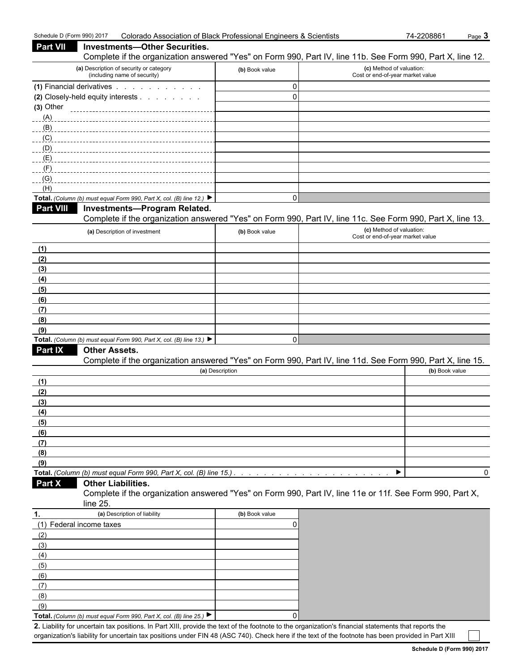| Schedule D (Form 990) 2017                                                                                                                                            | Colorado Association of Black Professional Engineers & Scientists | 74-2208861                                                   | Page 3         |
|-----------------------------------------------------------------------------------------------------------------------------------------------------------------------|-------------------------------------------------------------------|--------------------------------------------------------------|----------------|
| <b>Part VII</b><br><b>Investments-Other Securities.</b><br>Complete if the organization answered "Yes" on Form 990, Part IV, line 11b. See Form 990, Part X, line 12. |                                                                   |                                                              |                |
| (a) Description of security or category<br>(including name of security)                                                                                               | (b) Book value                                                    | (c) Method of valuation:<br>Cost or end-of-year market value |                |
| (1) Financial derivatives                                                                                                                                             | $\mathbf 0$                                                       |                                                              |                |
| (2) Closely-held equity interests                                                                                                                                     | 0                                                                 |                                                              |                |
| $(3)$ Other                                                                                                                                                           |                                                                   |                                                              |                |
| (A)                                                                                                                                                                   |                                                                   |                                                              |                |
| (B)                                                                                                                                                                   |                                                                   |                                                              |                |
| (C)                                                                                                                                                                   |                                                                   |                                                              |                |
| (D)                                                                                                                                                                   |                                                                   |                                                              |                |
| (E)                                                                                                                                                                   |                                                                   |                                                              |                |
| (F)                                                                                                                                                                   |                                                                   |                                                              |                |
| (G)<br>(H)                                                                                                                                                            |                                                                   |                                                              |                |
| Total. (Column (b) must equal Form 990, Part X, col. (B) line 12.) $\blacktriangleright$                                                                              | 0                                                                 |                                                              |                |
| <b>Part VIII</b><br>Investments-Program Related.                                                                                                                      |                                                                   |                                                              |                |
| Complete if the organization answered "Yes" on Form 990, Part IV, line 11c. See Form 990, Part X, line 13.                                                            |                                                                   |                                                              |                |
| (a) Description of investment                                                                                                                                         | (b) Book value                                                    | (c) Method of valuation:<br>Cost or end-of-year market value |                |
| (1)                                                                                                                                                                   |                                                                   |                                                              |                |
| (2)                                                                                                                                                                   |                                                                   |                                                              |                |
| (3)                                                                                                                                                                   |                                                                   |                                                              |                |
| (4)                                                                                                                                                                   |                                                                   |                                                              |                |
| (5)                                                                                                                                                                   |                                                                   |                                                              |                |
| (6)                                                                                                                                                                   |                                                                   |                                                              |                |
| (7)                                                                                                                                                                   |                                                                   |                                                              |                |
| (8)                                                                                                                                                                   |                                                                   |                                                              |                |
| (9)                                                                                                                                                                   |                                                                   |                                                              |                |
| Total. (Column (b) must equal Form 990, Part X, col. (B) line 13.)<br>Part IX                                                                                         | 0                                                                 |                                                              |                |
| <b>Other Assets.</b><br>Complete if the organization answered "Yes" on Form 990, Part IV, line 11d. See Form 990, Part X, line 15.                                    |                                                                   |                                                              |                |
|                                                                                                                                                                       | (a) Description                                                   |                                                              | (b) Book value |
|                                                                                                                                                                       |                                                                   |                                                              |                |
| (1)<br>(2)                                                                                                                                                            |                                                                   |                                                              |                |
| (3)                                                                                                                                                                   |                                                                   |                                                              |                |
| (4)                                                                                                                                                                   |                                                                   |                                                              |                |
| (5)                                                                                                                                                                   |                                                                   |                                                              |                |
| (6)                                                                                                                                                                   |                                                                   |                                                              |                |
| (7)                                                                                                                                                                   |                                                                   |                                                              |                |
| (8)                                                                                                                                                                   |                                                                   |                                                              |                |
| (9)                                                                                                                                                                   |                                                                   |                                                              |                |
| Total. (Column (b) must equal Form 990, Part X, col. (B) line 15.)                                                                                                    |                                                                   | ▶                                                            | $\mathbf{0}$   |
| Part X<br><b>Other Liabilities.</b><br>Complete if the organization answered "Yes" on Form 990, Part IV, line 11e or 11f. See Form 990, Part X,                       |                                                                   |                                                              |                |
| line 25.<br>1.                                                                                                                                                        |                                                                   |                                                              |                |
| (a) Description of liability                                                                                                                                          | (b) Book value<br>0                                               |                                                              |                |
| (1) Federal income taxes                                                                                                                                              |                                                                   |                                                              |                |
| (2)                                                                                                                                                                   |                                                                   |                                                              |                |
| (3)<br>(4)                                                                                                                                                            |                                                                   |                                                              |                |
| (5)                                                                                                                                                                   |                                                                   |                                                              |                |
| (6)                                                                                                                                                                   |                                                                   |                                                              |                |
| (7)                                                                                                                                                                   |                                                                   |                                                              |                |
| (8)                                                                                                                                                                   |                                                                   |                                                              |                |
|                                                                                                                                                                       |                                                                   |                                                              |                |

**2.** Liability for uncertain tax positions. In Part XIII, provide the text of the footnote to the organization's financial statements that reports the organization's liability for uncertain tax positions under FIN 48 (ASC 740). Check here if the text of the footnote has been provided in Part XIII

**Total.** *(Column (b) must equal Form 990, Part X, col. (B) line 25.)* 0

(9)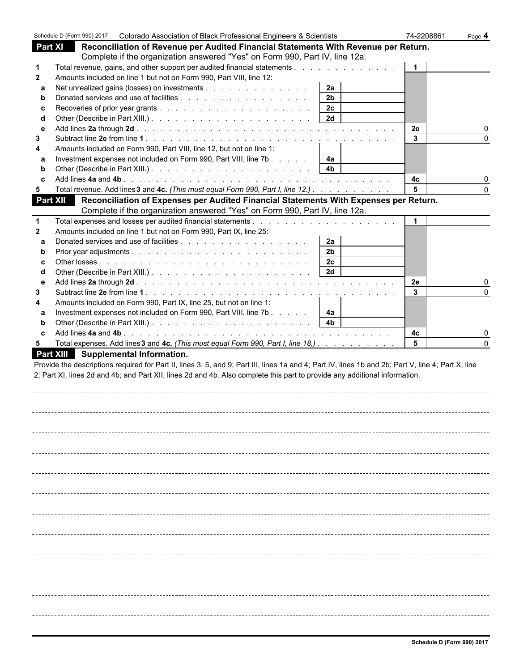|              | Schedule D (Form 990) 2017 |                                                                      | Colorado Association of Black Professional Engineers & Scientists                                                                                                                                                              |                | 74-2208861   | Page 4 |
|--------------|----------------------------|----------------------------------------------------------------------|--------------------------------------------------------------------------------------------------------------------------------------------------------------------------------------------------------------------------------|----------------|--------------|--------|
| Part XI      |                            |                                                                      | Reconciliation of Revenue per Audited Financial Statements With Revenue per Return.                                                                                                                                            |                |              |        |
|              |                            |                                                                      | Complete if the organization answered "Yes" on Form 990, Part IV, line 12a.                                                                                                                                                    |                |              |        |
| $\mathbf{1}$ |                            |                                                                      | Total revenue, gains, and other support per audited financial statements and an analyzing statements of the statements of the statements of the statements of the statements of the statements of the statements of the statem |                | $\mathbf{1}$ |        |
| $\mathbf 2$  |                            | Amounts included on line 1 but not on Form 990, Part VIII, line 12:  |                                                                                                                                                                                                                                |                |              |        |
| a            |                            |                                                                      | Net unrealized gains (losses) on investments                                                                                                                                                                                   | 2a             |              |        |
| b            |                            |                                                                      |                                                                                                                                                                                                                                | 2 <sub>b</sub> |              |        |
| c            |                            |                                                                      |                                                                                                                                                                                                                                | 2c             |              |        |
| d            |                            |                                                                      |                                                                                                                                                                                                                                | 2d             |              |        |
| $\mathbf{e}$ |                            |                                                                      |                                                                                                                                                                                                                                |                | 2e           |        |
| 3            |                            |                                                                      |                                                                                                                                                                                                                                |                | $\mathbf{3}$ |        |
| 4            |                            | Amounts included on Form 990, Part VIII, line 12, but not on line 1: |                                                                                                                                                                                                                                |                |              |        |
| a            |                            |                                                                      | Investment expenses not included on Form 990, Part VIII, line 7b                                                                                                                                                               | 4a             |              |        |
| b            |                            |                                                                      |                                                                                                                                                                                                                                | 4 <sub>b</sub> |              |        |
| c            |                            |                                                                      |                                                                                                                                                                                                                                |                | 4c           |        |
| 5            |                            |                                                                      | Total revenue. Add lines 3 and 4c. (This must equal Form 990, Part I, line 12.)                                                                                                                                                |                | 5            |        |
| Part XII     |                            |                                                                      | Reconciliation of Expenses per Audited Financial Statements With Expenses per Return.                                                                                                                                          |                |              |        |
|              |                            |                                                                      | Complete if the organization answered "Yes" on Form 990, Part IV, line 12a.                                                                                                                                                    |                |              |        |
| $\mathbf{1}$ |                            |                                                                      |                                                                                                                                                                                                                                |                | $\mathbf 1$  |        |
| $\mathbf 2$  |                            | Amounts included on line 1 but not on Form 990, Part IX, line 25:    |                                                                                                                                                                                                                                |                |              |        |
| a            |                            |                                                                      |                                                                                                                                                                                                                                | 2a             |              |        |
| b            |                            |                                                                      |                                                                                                                                                                                                                                | 2 <sub>b</sub> |              |        |
| C            |                            |                                                                      |                                                                                                                                                                                                                                | 2 <sub>c</sub> |              |        |
| d            |                            |                                                                      |                                                                                                                                                                                                                                | 2d             |              |        |
| е            |                            |                                                                      |                                                                                                                                                                                                                                |                | 2e           |        |
| 3            |                            |                                                                      |                                                                                                                                                                                                                                |                | 3            |        |
| 4            |                            | Amounts included on Form 990, Part IX, line 25, but not on line 1:   |                                                                                                                                                                                                                                |                |              |        |
| a            |                            |                                                                      | Investment expenses not included on Form 990, Part VIII, line 7b                                                                                                                                                               | 4a             |              |        |
| b            |                            |                                                                      |                                                                                                                                                                                                                                | 4 <sub>b</sub> |              |        |
| C            |                            |                                                                      |                                                                                                                                                                                                                                |                | 4c           |        |
| 5            |                            |                                                                      | Total expenses. Add lines 3 and 4c. (This must equal Form 990, Part I, line 18.)                                                                                                                                               |                | 5            | U      |
|              |                            | Part XIII Supplemental Information.                                  |                                                                                                                                                                                                                                |                |              |        |
|              |                            |                                                                      | 2; Part XI, lines 2d and 4b; and Part XII, lines 2d and 4b. Also complete this part to provide any additional information.                                                                                                     |                |              |        |
|              |                            |                                                                      |                                                                                                                                                                                                                                |                |              |        |
|              |                            |                                                                      |                                                                                                                                                                                                                                |                |              |        |
|              |                            |                                                                      |                                                                                                                                                                                                                                |                |              |        |
|              |                            |                                                                      |                                                                                                                                                                                                                                |                |              |        |
|              |                            |                                                                      |                                                                                                                                                                                                                                |                |              |        |
|              |                            |                                                                      |                                                                                                                                                                                                                                |                |              |        |
|              |                            |                                                                      |                                                                                                                                                                                                                                |                |              |        |
|              |                            |                                                                      |                                                                                                                                                                                                                                |                |              |        |
|              |                            |                                                                      |                                                                                                                                                                                                                                |                |              |        |
|              |                            |                                                                      |                                                                                                                                                                                                                                |                |              |        |
|              |                            |                                                                      |                                                                                                                                                                                                                                |                |              |        |
|              |                            |                                                                      |                                                                                                                                                                                                                                |                |              |        |
|              |                            |                                                                      |                                                                                                                                                                                                                                |                |              |        |
|              |                            |                                                                      |                                                                                                                                                                                                                                |                |              |        |
|              |                            |                                                                      |                                                                                                                                                                                                                                |                |              |        |
|              |                            |                                                                      |                                                                                                                                                                                                                                |                |              |        |
|              |                            |                                                                      |                                                                                                                                                                                                                                |                |              |        |
|              |                            |                                                                      |                                                                                                                                                                                                                                |                |              |        |
|              |                            |                                                                      |                                                                                                                                                                                                                                |                |              |        |
|              |                            |                                                                      |                                                                                                                                                                                                                                |                |              |        |
|              |                            |                                                                      |                                                                                                                                                                                                                                |                |              |        |
|              |                            |                                                                      |                                                                                                                                                                                                                                |                |              |        |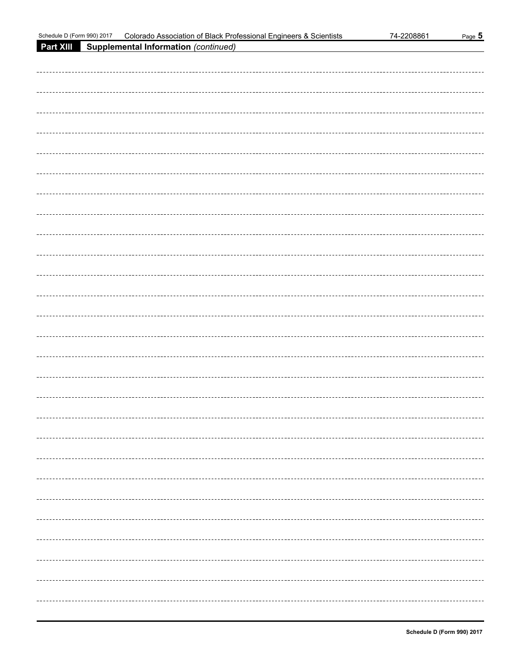| Schedule D (Form 990) 2017 | Colorado Association of Black Professional Engineers & Scientists | 74-2208861 | Page 5 |
|----------------------------|-------------------------------------------------------------------|------------|--------|
| <b>Part XIII</b>           | Supplemental Information (continued)                              |            |        |
|                            |                                                                   |            |        |
|                            |                                                                   |            |        |
|                            |                                                                   |            |        |
|                            |                                                                   |            |        |
|                            |                                                                   |            |        |
|                            |                                                                   |            |        |
|                            |                                                                   |            |        |
|                            |                                                                   |            |        |
|                            |                                                                   |            |        |
|                            |                                                                   |            |        |
|                            |                                                                   |            |        |
|                            |                                                                   |            |        |
|                            |                                                                   |            |        |
|                            |                                                                   |            |        |
|                            |                                                                   |            |        |
|                            |                                                                   |            |        |
|                            |                                                                   |            |        |
|                            |                                                                   |            |        |
|                            |                                                                   |            |        |
|                            |                                                                   |            |        |
|                            |                                                                   |            |        |
|                            |                                                                   |            |        |
|                            |                                                                   |            |        |
|                            |                                                                   |            |        |
|                            |                                                                   |            |        |
|                            |                                                                   |            |        |
|                            |                                                                   |            |        |
|                            |                                                                   |            |        |
|                            |                                                                   |            |        |
|                            |                                                                   |            |        |
|                            |                                                                   |            |        |
|                            |                                                                   |            |        |
|                            |                                                                   |            |        |
|                            |                                                                   |            |        |
|                            |                                                                   |            |        |
|                            |                                                                   |            |        |
|                            |                                                                   |            |        |
|                            |                                                                   |            |        |
|                            |                                                                   |            |        |
|                            |                                                                   |            |        |
|                            |                                                                   |            |        |
|                            |                                                                   |            |        |
|                            |                                                                   |            |        |
|                            |                                                                   |            |        |
|                            |                                                                   |            |        |
|                            |                                                                   |            |        |
|                            |                                                                   |            |        |
|                            |                                                                   |            |        |
|                            |                                                                   |            |        |
|                            |                                                                   |            |        |
|                            |                                                                   |            |        |
|                            |                                                                   |            |        |
|                            |                                                                   |            |        |
|                            |                                                                   |            |        |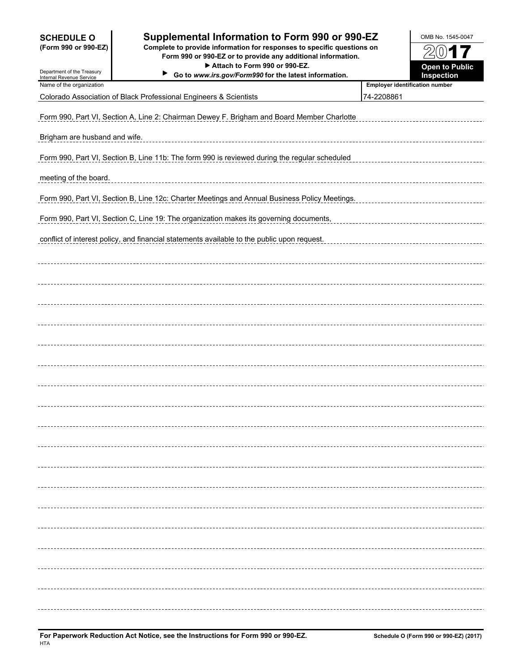| <b>SCHEDULE O</b><br>(Form 990 or 990-EZ)<br>Department of the Treasury<br>Internal Revenue Service | Supplemental Information to Form 990 or 990-EZ<br>Complete to provide information for responses to specific questions on<br>Form 990 or 990-EZ or to provide any additional information.<br>Attach to Form 990 or 990-EZ.<br>Go to www.irs.gov/Form990 for the latest information. |                                       | OMB No. 1545-0047<br>(0)<br><b>Open to Public</b><br>Inspection |
|-----------------------------------------------------------------------------------------------------|------------------------------------------------------------------------------------------------------------------------------------------------------------------------------------------------------------------------------------------------------------------------------------|---------------------------------------|-----------------------------------------------------------------|
| Name of the organization                                                                            |                                                                                                                                                                                                                                                                                    | <b>Employer identification number</b> |                                                                 |
|                                                                                                     | Colorado Association of Black Professional Engineers & Scientists                                                                                                                                                                                                                  | 74-2208861                            |                                                                 |
|                                                                                                     | Form 990, Part VI, Section A, Line 2: Chairman Dewey F. Brigham and Board Member Charlotte                                                                                                                                                                                         |                                       |                                                                 |
| Brigham are husband and wife.                                                                       |                                                                                                                                                                                                                                                                                    |                                       |                                                                 |
|                                                                                                     | Form 990, Part VI, Section B, Line 11b: The form 990 is reviewed during the regular scheduled                                                                                                                                                                                      |                                       |                                                                 |
| meeting of the board.                                                                               |                                                                                                                                                                                                                                                                                    |                                       |                                                                 |
|                                                                                                     | Form 990, Part VI, Section B, Line 12c: Charter Meetings and Annual Business Policy Meetings.                                                                                                                                                                                      |                                       |                                                                 |
|                                                                                                     | Form 990, Part VI, Section C, Line 19: The organization makes its governing documents,                                                                                                                                                                                             |                                       |                                                                 |
|                                                                                                     | conflict of interest policy, and financial statements available to the public upon request.                                                                                                                                                                                        |                                       |                                                                 |
|                                                                                                     |                                                                                                                                                                                                                                                                                    |                                       |                                                                 |
|                                                                                                     |                                                                                                                                                                                                                                                                                    |                                       |                                                                 |
|                                                                                                     |                                                                                                                                                                                                                                                                                    |                                       |                                                                 |
|                                                                                                     |                                                                                                                                                                                                                                                                                    |                                       |                                                                 |
|                                                                                                     |                                                                                                                                                                                                                                                                                    |                                       |                                                                 |
|                                                                                                     |                                                                                                                                                                                                                                                                                    |                                       |                                                                 |
|                                                                                                     |                                                                                                                                                                                                                                                                                    |                                       |                                                                 |
|                                                                                                     |                                                                                                                                                                                                                                                                                    |                                       |                                                                 |
|                                                                                                     |                                                                                                                                                                                                                                                                                    |                                       |                                                                 |
|                                                                                                     |                                                                                                                                                                                                                                                                                    |                                       |                                                                 |
|                                                                                                     |                                                                                                                                                                                                                                                                                    |                                       |                                                                 |
|                                                                                                     |                                                                                                                                                                                                                                                                                    |                                       |                                                                 |
|                                                                                                     |                                                                                                                                                                                                                                                                                    |                                       |                                                                 |
|                                                                                                     |                                                                                                                                                                                                                                                                                    |                                       |                                                                 |
|                                                                                                     |                                                                                                                                                                                                                                                                                    |                                       |                                                                 |
|                                                                                                     |                                                                                                                                                                                                                                                                                    |                                       |                                                                 |
|                                                                                                     |                                                                                                                                                                                                                                                                                    |                                       |                                                                 |

 $\frac{1}{2} \frac{1}{2} \frac{1}{2} \frac{1}{2} \frac{1}{2} \frac{1}{2} \frac{1}{2} \frac{1}{2} \frac{1}{2} \frac{1}{2} \frac{1}{2} \frac{1}{2} \frac{1}{2} \frac{1}{2} \frac{1}{2} \frac{1}{2} \frac{1}{2} \frac{1}{2} \frac{1}{2} \frac{1}{2} \frac{1}{2} \frac{1}{2} \frac{1}{2} \frac{1}{2} \frac{1}{2} \frac{1}{2} \frac{1}{2} \frac{1}{2} \frac{1}{2} \frac{1}{2} \frac{1}{2} \frac{$ 

-----------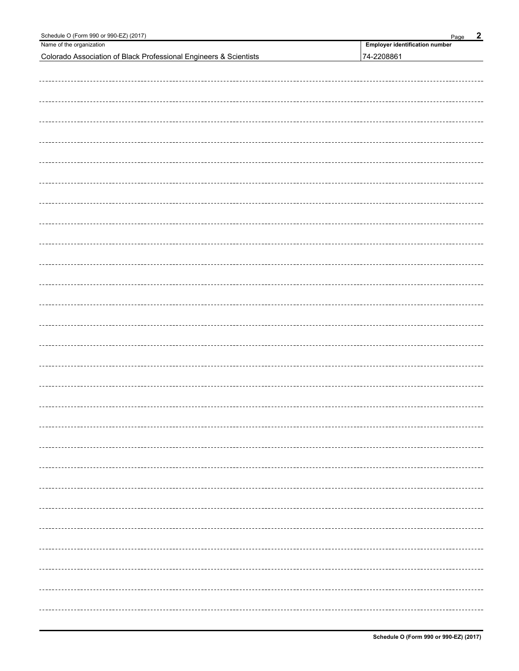| Schedule O (Form 990 or 990-EZ) (2017)                            | $\overline{2}$<br>Page                |
|-------------------------------------------------------------------|---------------------------------------|
| Name of the organization                                          | <b>Employer identification number</b> |
| Colorado Association of Black Professional Engineers & Scientists | 74-2208861                            |
|                                                                   |                                       |
|                                                                   |                                       |
|                                                                   |                                       |
|                                                                   |                                       |
|                                                                   |                                       |
|                                                                   |                                       |
|                                                                   |                                       |
|                                                                   |                                       |
|                                                                   |                                       |
|                                                                   |                                       |
|                                                                   |                                       |
|                                                                   |                                       |
|                                                                   |                                       |
|                                                                   |                                       |
|                                                                   |                                       |
|                                                                   |                                       |
|                                                                   |                                       |
|                                                                   |                                       |
|                                                                   |                                       |
|                                                                   |                                       |
|                                                                   |                                       |
|                                                                   |                                       |
|                                                                   |                                       |
|                                                                   |                                       |
|                                                                   |                                       |
|                                                                   |                                       |
|                                                                   |                                       |
|                                                                   |                                       |
|                                                                   |                                       |
|                                                                   |                                       |
|                                                                   |                                       |
|                                                                   |                                       |
|                                                                   |                                       |
|                                                                   |                                       |
|                                                                   |                                       |
|                                                                   |                                       |
|                                                                   |                                       |
|                                                                   |                                       |
|                                                                   |                                       |
|                                                                   |                                       |
|                                                                   |                                       |
|                                                                   |                                       |
|                                                                   |                                       |
|                                                                   |                                       |
|                                                                   |                                       |
|                                                                   |                                       |
|                                                                   |                                       |
|                                                                   |                                       |
|                                                                   |                                       |
|                                                                   |                                       |
|                                                                   |                                       |
|                                                                   |                                       |
|                                                                   |                                       |
|                                                                   |                                       |